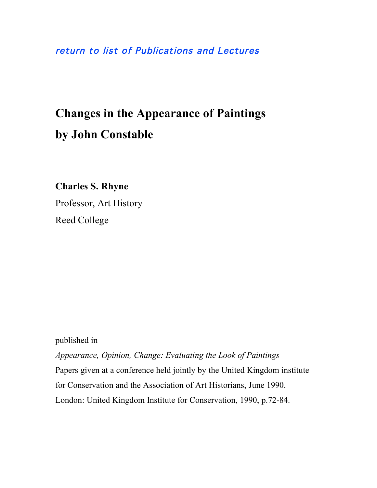### [return to list of Publications and Lectures](http://www.reed.edu/~crhyne/pubs.html)

# **Changes in the Appearance of Paintings by John Constable**

**Charles S. Rhyne**

Professor, Art History Reed College

published in

*Appearance, Opinion, Change: Evaluating the Look of Paintings* Papers given at a conference held jointly by the United Kingdom institute for Conservation and the Association of Art Historians, June 1990. London: United Kingdom Institute for Conservation, 1990, p.72-84.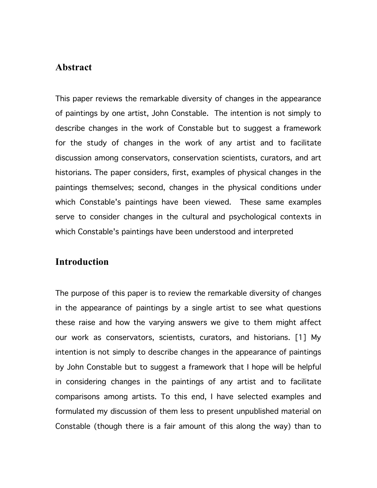### **Abstract**

This paper reviews the remarkable diversity of changes in the appearance of paintings by one artist, John Constable. The intention is not simply to describe changes in the work of Constable but to suggest a framework for the study of changes in the work of any artist and to facilitate discussion among conservators, conservation scientists, curators, and art historians. The paper considers, first, examples of physical changes in the paintings themselves; second, changes in the physical conditions under which Constable's paintings have been viewed. These same examples serve to consider changes in the cultural and psychological contexts in which Constable's paintings have been understood and interpreted

### **Introduction**

The purpose of this paper is to review the remarkable diversity of changes in the appearance of paintings by a single artist to see what questions these raise and how the varying answers we give to them might affect our work as conservators, scientists, curators, and historians. [1] My intention is not simply to describe changes in the appearance of paintings by John Constable but to suggest a framework that I hope will be helpful in considering changes in the paintings of any artist and to facilitate comparisons among artists. To this end, I have selected examples and formulated my discussion of them less to present unpublished material on Constable (though there is a fair amount of this along the way) than to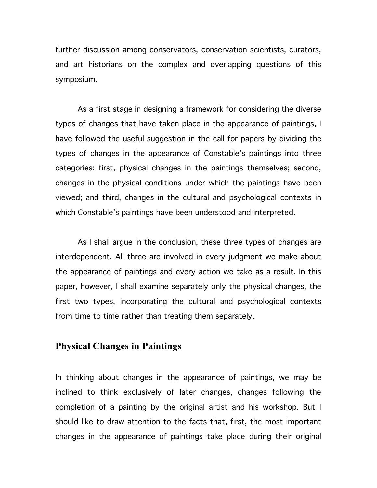further discussion among conservators, conservation scientists, curators, and art historians on the complex and overlapping questions of this symposium.

As a first stage in designing a framework for considering the diverse types of changes that have taken place in the appearance of paintings, I have followed the useful suggestion in the call for papers by dividing the types of changes in the appearance of Constable's paintings into three categories: first, physical changes in the paintings themselves; second, changes in the physical conditions under which the paintings have been viewed; and third, changes in the cultural and psychological contexts in which Constable's paintings have been understood and interpreted.

As I shall argue in the conclusion, these three types of changes are interdependent. All three are involved in every judgment we make about the appearance of paintings and every action we take as a result. In this paper, however, I shall examine separately only the physical changes, the first two types, incorporating the cultural and psychological contexts from time to time rather than treating them separately.

### **Physical Changes in Paintings**

In thinking about changes in the appearance of paintings, we may be inclined to think exclusively of later changes, changes following the completion of a painting by the original artist and his workshop. But I should like to draw attention to the facts that, first, the most important changes in the appearance of paintings take place during their original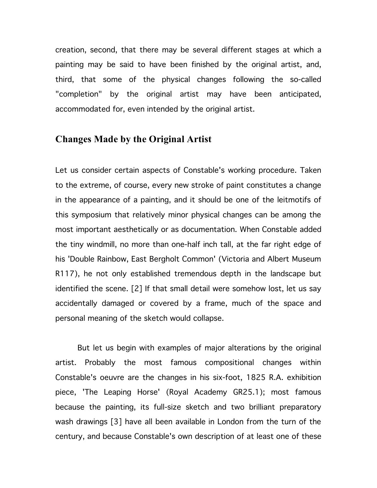creation, second, that there may be several different stages at which a painting may be said to have been finished by the original artist, and, third, that some of the physical changes following the so-called "completion" by the original artist may have been anticipated, accommodated for, even intended by the original artist.

### **Changes Made by the Original Artist**

Let us consider certain aspects of Constable's working procedure. Taken to the extreme, of course, every new stroke of paint constitutes a change in the appearance of a painting, and it should be one of the leitmotifs of this symposium that relatively minor physical changes can be among the most important aesthetically or as documentation. When Constable added the tiny windmill, no more than one-half inch tall, at the far right edge of his 'Double Rainbow, East Bergholt Common' (Victoria and Albert Museum R117), he not only established tremendous depth in the landscape but identified the scene. [2] If that small detail were somehow lost, let us say accidentally damaged or covered by a frame, much of the space and personal meaning of the sketch would collapse.

But let us begin with examples of major alterations by the original artist. Probably the most famous compositional changes within Constable's oeuvre are the changes in his six-foot, 1825 R.A. exhibition piece, 'The Leaping Horse' (Royal Academy GR25.1); most famous because the painting, its full-size sketch and two brilliant preparatory wash drawings [3] have all been available in London from the turn of the century, and because Constable's own description of at least one of these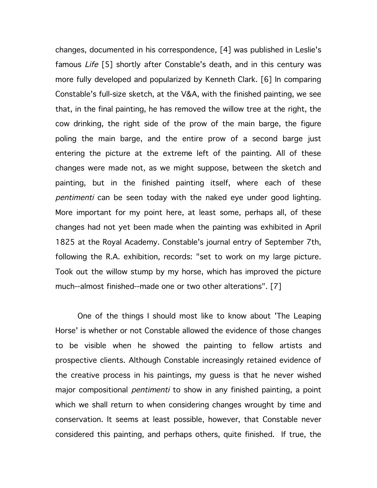changes, documented in his correspondence, [4] was published in Leslie's famous *Life* [5] shortly after Constable's death, and in this century was more fully developed and popularized by Kenneth Clark. [6] In comparing Constable's full-size sketch, at the V&A, with the finished painting, we see that, in the final painting, he has removed the willow tree at the right, the cow drinking, the right side of the prow of the main barge, the figure poling the main barge, and the entire prow of a second barge just entering the picture at the extreme left of the painting. All of these changes were made not, as we might suppose, between the sketch and painting, but in the finished painting itself, where each of these pentimenti can be seen today with the naked eye under good lighting. More important for my point here, at least some, perhaps all, of these changes had not yet been made when the painting was exhibited in April 1825 at the Royal Academy. Constable's journal entry of September 7th, following the R.A. exhibition, records: "set to work on my large picture. Took out the willow stump by my horse, which has improved the picture much--almost finished--made one or two other alterations". [7]

One of the things I should most like to know about 'The Leaping Horse' is whether or not Constable allowed the evidence of those changes to be visible when he showed the painting to fellow artists and prospective clients. Although Constable increasingly retained evidence of the creative process in his paintings, my guess is that he never wished major compositional *pentimenti* to show in any finished painting, a point which we shall return to when considering changes wrought by time and conservation. It seems at least possible, however, that Constable never considered this painting, and perhaps others, quite finished. If true, the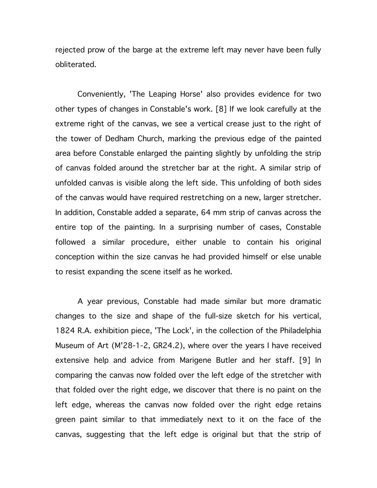rejected prow of the barge at the extreme left may never have been fully obliterated.

Conveniently, 'The Leaping Horse' also provides evidence for two other types of changes in Constable's work. [8] If we look carefully at the extreme right of the canvas, we see a vertical crease just to the right of the tower of Dedham Church, marking the previous edge of the painted area before Constable enlarged the painting slightly by unfolding the strip of canvas folded around the stretcher bar at the right. A similar strip of unfolded canvas is visible along the left side. This unfolding of both sides of the canvas would have required restretching on a new, larger stretcher. In addition, Constable added a separate, 64 mm strip of canvas across the entire top of the painting. In a surprising number of cases, Constable followed a similar procedure, either unable to contain his original conception within the size canvas he had provided himself or else unable to resist expanding the scene itself as he worked.

A year previous, Constable had made similar but more dramatic changes to the size and shape of the full-size sketch for his vertical, 1824 R.A. exhibition piece, 'The Lock', in the collection of the Philadelphia Museum of Art (M'28-1-2, GR24.2), where over the years I have received extensive help and advice from Marigene Butler and her staff. [9] In comparing the canvas now folded over the left edge of the stretcher with that folded over the right edge, we discover that there is no paint on the left edge, whereas the canvas now folded over the right edge retains green paint similar to that immediately next to it on the face of the canvas, suggesting that the left edge is original but that the strip of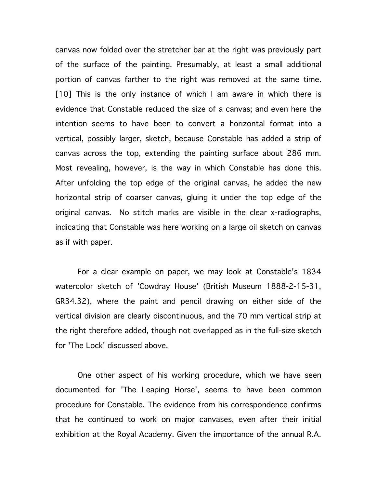canvas now folded over the stretcher bar at the right was previously part of the surface of the painting. Presumably, at least a small additional portion of canvas farther to the right was removed at the same time. [10] This is the only instance of which I am aware in which there is evidence that Constable reduced the size of a canvas; and even here the intention seems to have been to convert a horizontal format into a vertical, possibly larger, sketch, because Constable has added a strip of canvas across the top, extending the painting surface about 286 mm. Most revealing, however, is the way in which Constable has done this. After unfolding the top edge of the original canvas, he added the new horizontal strip of coarser canvas, gluing it under the top edge of the original canvas. No stitch marks are visible in the clear x-radiographs, indicating that Constable was here working on a large oil sketch on canvas as if with paper.

For a clear example on paper, we may look at Constable's 1834 watercolor sketch of 'Cowdray House' (British Museum 1888-2-15-31, GR34.32), where the paint and pencil drawing on either side of the vertical division are clearly discontinuous, and the 70 mm vertical strip at the right therefore added, though not overlapped as in the full-size sketch for 'The Lock' discussed above.

One other aspect of his working procedure, which we have seen documented for 'The Leaping Horse', seems to have been common procedure for Constable. The evidence from his correspondence confirms that he continued to work on major canvases, even after their initial exhibition at the Royal Academy. Given the importance of the annual R.A.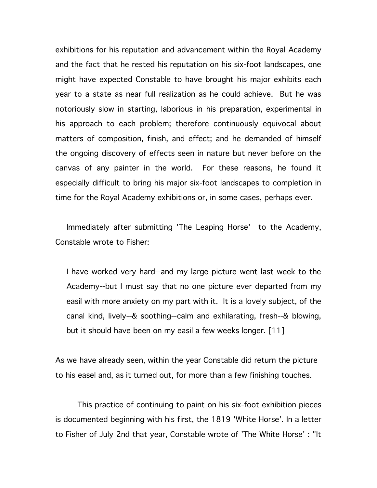exhibitions for his reputation and advancement within the Royal Academy and the fact that he rested his reputation on his six-foot landscapes, one might have expected Constable to have brought his major exhibits each year to a state as near full realization as he could achieve. But he was notoriously slow in starting, laborious in his preparation, experimental in his approach to each problem; therefore continuously equivocal about matters of composition, finish, and effect; and he demanded of himself the ongoing discovery of effects seen in nature but never before on the canvas of any painter in the world. For these reasons, he found it especially difficult to bring his major six-foot landscapes to completion in time for the Royal Academy exhibitions or, in some cases, perhaps ever.

Immediately after submitting 'The Leaping Horse' to the Academy, Constable wrote to Fisher:

I have worked very hard--and my large picture went last week to the Academy--but I must say that no one picture ever departed from my easil with more anxiety on my part with it. It is a lovely subject, of the canal kind, lively--& soothing--calm and exhilarating, fresh--& blowing, but it should have been on my easil a few weeks longer. [11]

As we have already seen, within the year Constable did return the picture to his easel and, as it turned out, for more than a few finishing touches.

This practice of continuing to paint on his six-foot exhibition pieces is documented beginning with his first, the 1819 'White Horse'. In a letter to Fisher of July 2nd that year, Constable wrote of 'The White Horse' : "It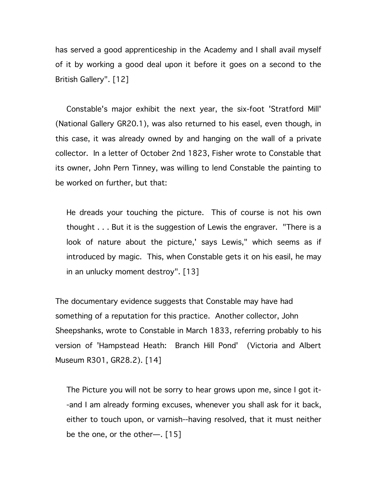has served a good apprenticeship in the Academy and I shall avail myself of it by working a good deal upon it before it goes on a second to the British Gallery". [12]

Constable's major exhibit the next year, the six-foot 'Stratford Mill' (National Gallery GR20.1), was also returned to his easel, even though, in this case, it was already owned by and hanging on the wall of a private collector. In a letter of October 2nd 1823, Fisher wrote to Constable that its owner, John Pern Tinney, was willing to lend Constable the painting to be worked on further, but that:

He dreads your touching the picture. This of course is not his own thought . . . But it is the suggestion of Lewis the engraver. "There is a look of nature about the picture,' says Lewis," which seems as if introduced by magic. This, when Constable gets it on his easil, he may in an unlucky moment destroy". [13]

The documentary evidence suggests that Constable may have had something of a reputation for this practice. Another collector, John Sheepshanks, wrote to Constable in March 1833, referring probably to his version of 'Hampstead Heath: Branch Hill Pond' (Victoria and Albert Museum R301, GR28.2). [14]

The Picture you will not be sorry to hear grows upon me, since I got it- -and I am already forming excuses, whenever you shall ask for it back, either to touch upon, or varnish--having resolved, that it must neither be the one, or the other—. [15]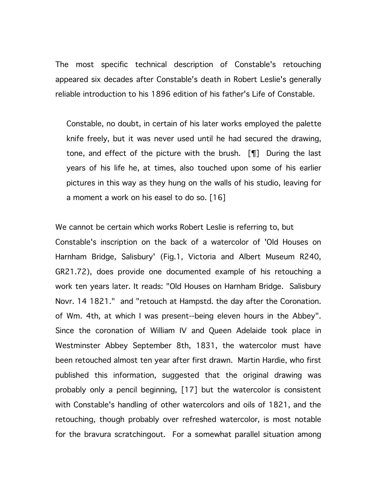The most specific technical description of Constable's retouching appeared six decades after Constable's death in Robert Leslie's generally reliable introduction to his 1896 edition of his father's Life of Constable.

Constable, no doubt, in certain of his later works employed the palette knife freely, but it was never used until he had secured the drawing, tone, and effect of the picture with the brush. [¶] During the last years of his life he, at times, also touched upon some of his earlier pictures in this way as they hung on the walls of his studio, leaving for a moment a work on his easel to do so. [16]

We cannot be certain which works Robert Leslie is referring to, but Constable's inscription on the back of a watercolor of 'Old Houses on Harnham Bridge, Salisbury' (Fig.1, Victoria and Albert Museum R240, GR21.72), does provide one documented example of his retouching a work ten years later. It reads: "Old Houses on Harnham Bridge. Salisbury Novr. 14 1821." and "retouch at Hampstd. the day after the Coronation. of Wm. 4th, at which I was present--being eleven hours in the Abbey". Since the coronation of William IV and Queen Adelaide took place in Westminster Abbey September 8th, 1831, the watercolor must have been retouched almost ten year after first drawn. Martin Hardie, who first published this information, suggested that the original drawing was probably only a pencil beginning, [17] but the watercolor is consistent with Constable's handling of other watercolors and oils of 1821, and the retouching, though probably over refreshed watercolor, is most notable for the bravura scratchingout. For a somewhat parallel situation among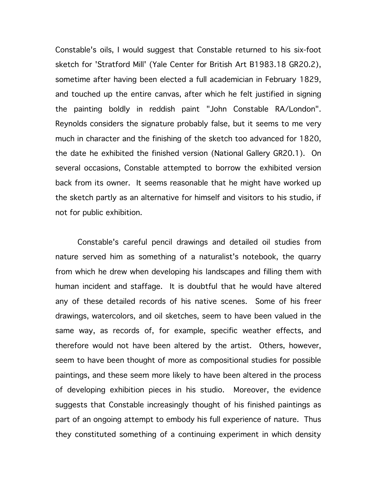Constable's oils, I would suggest that Constable returned to his six-foot sketch for 'Stratford Mill' (Yale Center for British Art B1983.18 GR20.2), sometime after having been elected a full academician in February 1829, and touched up the entire canvas, after which he felt justified in signing the painting boldly in reddish paint "John Constable RA/London". Reynolds considers the signature probably false, but it seems to me very much in character and the finishing of the sketch too advanced for 1820, the date he exhibited the finished version (National Gallery GR20.1). On several occasions, Constable attempted to borrow the exhibited version back from its owner. It seems reasonable that he might have worked up the sketch partly as an alternative for himself and visitors to his studio, if not for public exhibition.

Constable's careful pencil drawings and detailed oil studies from nature served him as something of a naturalist's notebook, the quarry from which he drew when developing his landscapes and filling them with human incident and staffage. It is doubtful that he would have altered any of these detailed records of his native scenes. Some of his freer drawings, watercolors, and oil sketches, seem to have been valued in the same way, as records of, for example, specific weather effects, and therefore would not have been altered by the artist. Others, however, seem to have been thought of more as compositional studies for possible paintings, and these seem more likely to have been altered in the process of developing exhibition pieces in his studio. Moreover, the evidence suggests that Constable increasingly thought of his finished paintings as part of an ongoing attempt to embody his full experience of nature. Thus they constituted something of a continuing experiment in which density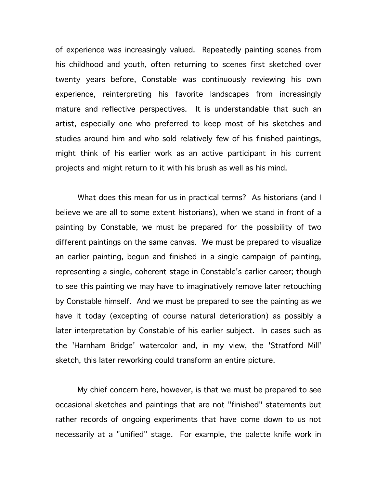of experience was increasingly valued. Repeatedly painting scenes from his childhood and youth, often returning to scenes first sketched over twenty years before, Constable was continuously reviewing his own experience, reinterpreting his favorite landscapes from increasingly mature and reflective perspectives. It is understandable that such an artist, especially one who preferred to keep most of his sketches and studies around him and who sold relatively few of his finished paintings, might think of his earlier work as an active participant in his current projects and might return to it with his brush as well as his mind.

What does this mean for us in practical terms? As historians (and I believe we are all to some extent historians), when we stand in front of a painting by Constable, we must be prepared for the possibility of two different paintings on the same canvas. We must be prepared to visualize an earlier painting, begun and finished in a single campaign of painting, representing a single, coherent stage in Constable's earlier career; though to see this painting we may have to imaginatively remove later retouching by Constable himself. And we must be prepared to see the painting as we have it today (excepting of course natural deterioration) as possibly a later interpretation by Constable of his earlier subject. In cases such as the 'Harnham Bridge' watercolor and, in my view, the 'Stratford Mill' sketch, this later reworking could transform an entire picture.

My chief concern here, however, is that we must be prepared to see occasional sketches and paintings that are not "finished" statements but rather records of ongoing experiments that have come down to us not necessarily at a "unified" stage. For example, the palette knife work in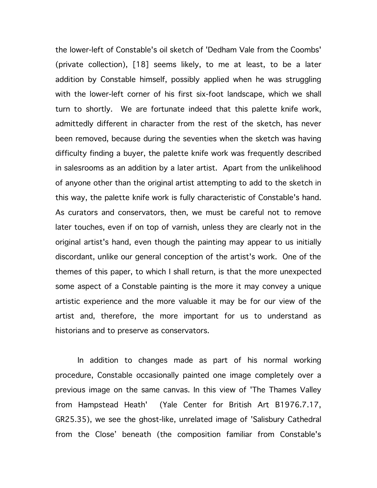the lower-left of Constable's oil sketch of 'Dedham Vale from the Coombs' (private collection), [18] seems likely, to me at least, to be a later addition by Constable himself, possibly applied when he was struggling with the lower-left corner of his first six-foot landscape, which we shall turn to shortly. We are fortunate indeed that this palette knife work, admittedly different in character from the rest of the sketch, has never been removed, because during the seventies when the sketch was having difficulty finding a buyer, the palette knife work was frequently described in salesrooms as an addition by a later artist. Apart from the unlikelihood of anyone other than the original artist attempting to add to the sketch in this way, the palette knife work is fully characteristic of Constable's hand. As curators and conservators, then, we must be careful not to remove later touches, even if on top of varnish, unless they are clearly not in the original artist's hand, even though the painting may appear to us initially discordant, unlike our general conception of the artist's work. One of the themes of this paper, to which I shall return, is that the more unexpected some aspect of a Constable painting is the more it may convey a unique artistic experience and the more valuable it may be for our view of the artist and, therefore, the more important for us to understand as historians and to preserve as conservators.

In addition to changes made as part of his normal working procedure, Constable occasionally painted one image completely over a previous image on the same canvas. In this view of 'The Thames Valley from Hampstead Heath' (Yale Center for British Art B1976.7.17, GR25.35), we see the ghost-like, unrelated image of 'Salisbury Cathedral from the Close' beneath (the composition familiar from Constable's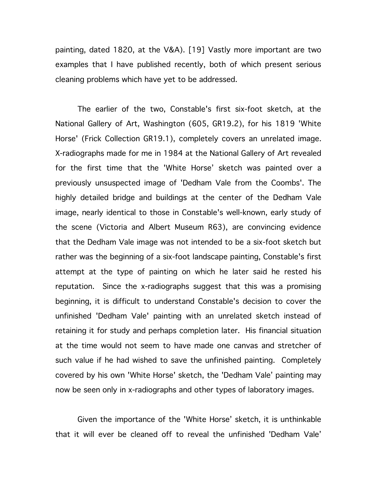painting, dated 1820, at the V&A). [19] Vastly more important are two examples that I have published recently, both of which present serious cleaning problems which have yet to be addressed.

The earlier of the two, Constable's first six-foot sketch, at the National Gallery of Art, Washington (605, GR19.2), for his 1819 'White Horse' (Frick Collection GR19.1), completely covers an unrelated image. X-radiographs made for me in 1984 at the National Gallery of Art revealed for the first time that the 'White Horse' sketch was painted over a previously unsuspected image of 'Dedham Vale from the Coombs'. The highly detailed bridge and buildings at the center of the Dedham Vale image, nearly identical to those in Constable's well-known, early study of the scene (Victoria and Albert Museum R63), are convincing evidence that the Dedham Vale image was not intended to be a six-foot sketch but rather was the beginning of a six-foot landscape painting, Constable's first attempt at the type of painting on which he later said he rested his reputation. Since the x-radiographs suggest that this was a promising beginning, it is difficult to understand Constable's decision to cover the unfinished 'Dedham Vale' painting with an unrelated sketch instead of retaining it for study and perhaps completion later. His financial situation at the time would not seem to have made one canvas and stretcher of such value if he had wished to save the unfinished painting. Completely covered by his own 'White Horse' sketch, the 'Dedham Vale' painting may now be seen only in x-radiographs and other types of laboratory images.

Given the importance of the 'White Horse' sketch, it is unthinkable that it will ever be cleaned off to reveal the unfinished 'Dedham Vale'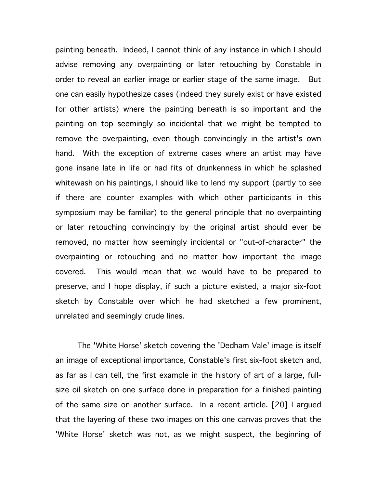painting beneath. Indeed, I cannot think of any instance in which I should advise removing any overpainting or later retouching by Constable in order to reveal an earlier image or earlier stage of the same image. But one can easily hypothesize cases (indeed they surely exist or have existed for other artists) where the painting beneath is so important and the painting on top seemingly so incidental that we might be tempted to remove the overpainting, even though convincingly in the artist's own hand. With the exception of extreme cases where an artist may have gone insane late in life or had fits of drunkenness in which he splashed whitewash on his paintings, I should like to lend my support (partly to see if there are counter examples with which other participants in this symposium may be familiar) to the general principle that no overpainting or later retouching convincingly by the original artist should ever be removed, no matter how seemingly incidental or "out-of-character" the overpainting or retouching and no matter how important the image covered. This would mean that we would have to be prepared to preserve, and I hope display, if such a picture existed, a major six-foot sketch by Constable over which he had sketched a few prominent, unrelated and seemingly crude lines.

The 'White Horse' sketch covering the 'Dedham Vale' image is itself an image of exceptional importance, Constable's first six-foot sketch and, as far as I can tell, the first example in the history of art of a large, fullsize oil sketch on one surface done in preparation for a finished painting of the same size on another surface. In a recent article. [20] I argued that the layering of these two images on this one canvas proves that the 'White Horse' sketch was not, as we might suspect, the beginning of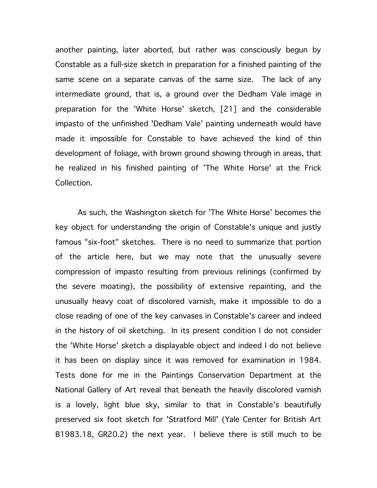another painting, later aborted, but rather was consciously begun by Constable as a full-size sketch in preparation for a finished painting of the same scene on a separate canvas of the same size. The lack of any intermediate ground, that is, a ground over the Dedham Vale image in preparation for the 'White Horse' sketch, [21] and the considerable impasto of the unfinished 'Dedham Vale' painting underneath would have made it impossible for Constable to have achieved the kind of thin development of foliage, with brown ground showing through in areas, that he realized in his finished painting of 'The White Horse' at the Frick Collection.

As such, the Washington sketch for 'The White Horse' becomes the key object for understanding the origin of Constable's unique and justly famous "six-foot" sketches. There is no need to summarize that portion of the article here, but we may note that the unusually severe compression of impasto resulting from previous relinings (confirmed by the severe moating), the possibility of extensive repainting, and the unusually heavy coat of discolored varnish, make it impossible to do a close reading of one of the key canvases in Constable's career and indeed in the history of oil sketching. In its present condition I do not consider the 'White Horse' sketch a displayable object and indeed I do not believe it has been on display since it was removed for examination in 1984. Tests done for me in the Paintings Conservation Department at the National Gallery of Art reveal that beneath the heavily discolored varnish is a lovely, light blue sky, similar to that in Constable's beautifully preserved six foot sketch for 'Stratford Mill' (Yale Center for British Art B1983.18, GR20.2) the next year. I believe there is still much to be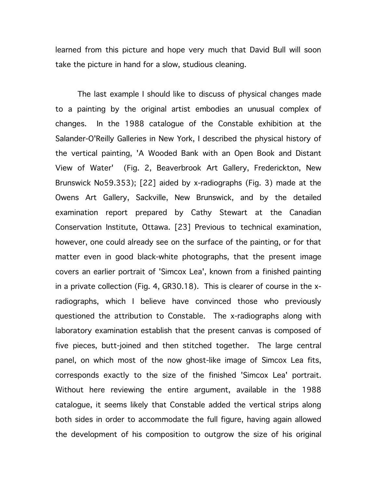learned from this picture and hope very much that David Bull will soon take the picture in hand for a slow, studious cleaning.

The last example I should like to discuss of physical changes made to a painting by the original artist embodies an unusual complex of changes. In the 1988 catalogue of the Constable exhibition at the Salander-O'Reilly Galleries in New York, I described the physical history of the vertical painting, 'A Wooded Bank with an Open Book and Distant View of Water' (Fig. 2, Beaverbrook Art Gallery, Frederickton, New Brunswick No59.353); [22] aided by x-radiographs (Fig. 3) made at the Owens Art Gallery, Sackville, New Brunswick, and by the detailed examination report prepared by Cathy Stewart at the Canadian Conservation Institute, Ottawa. [23] Previous to technical examination, however, one could already see on the surface of the painting, or for that matter even in good black-white photographs, that the present image covers an earlier portrait of 'Simcox Lea', known from a finished painting in a private collection (Fig. 4, GR30.18). This is clearer of course in the xradiographs, which I believe have convinced those who previously questioned the attribution to Constable. The x-radiographs along with laboratory examination establish that the present canvas is composed of five pieces, butt-joined and then stitched together. The large central panel, on which most of the now ghost-like image of Simcox Lea fits, corresponds exactly to the size of the finished 'Simcox Lea' portrait. Without here reviewing the entire argument, available in the 1988 catalogue, it seems likely that Constable added the vertical strips along both sides in order to accommodate the full figure, having again allowed the development of his composition to outgrow the size of his original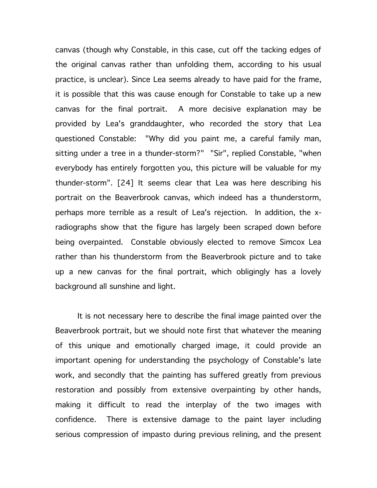canvas (though why Constable, in this case, cut off the tacking edges of the original canvas rather than unfolding them, according to his usual practice, is unclear). Since Lea seems already to have paid for the frame, it is possible that this was cause enough for Constable to take up a new canvas for the final portrait. A more decisive explanation may be provided by Lea's granddaughter, who recorded the story that Lea questioned Constable: "Why did you paint me, a careful family man, sitting under a tree in a thunder-storm?" "Sir", replied Constable, "when everybody has entirely forgotten you, this picture will be valuable for my thunder-storm". [24] It seems clear that Lea was here describing his portrait on the Beaverbrook canvas, which indeed has a thunderstorm, perhaps more terrible as a result of Lea's rejection. In addition, the xradiographs show that the figure has largely been scraped down before being overpainted. Constable obviously elected to remove Simcox Lea rather than his thunderstorm from the Beaverbrook picture and to take up a new canvas for the final portrait, which obligingly has a lovely background all sunshine and light.

It is not necessary here to describe the final image painted over the Beaverbrook portrait, but we should note first that whatever the meaning of this unique and emotionally charged image, it could provide an important opening for understanding the psychology of Constable's late work, and secondly that the painting has suffered greatly from previous restoration and possibly from extensive overpainting by other hands, making it difficult to read the interplay of the two images with confidence. There is extensive damage to the paint layer including serious compression of impasto during previous relining, and the present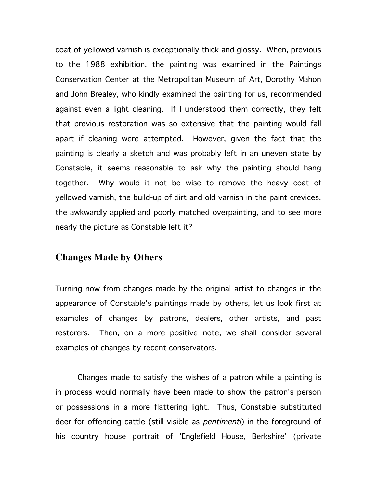coat of yellowed varnish is exceptionally thick and glossy. When, previous to the 1988 exhibition, the painting was examined in the Paintings Conservation Center at the Metropolitan Museum of Art, Dorothy Mahon and John Brealey, who kindly examined the painting for us, recommended against even a light cleaning. If I understood them correctly, they felt that previous restoration was so extensive that the painting would fall apart if cleaning were attempted. However, given the fact that the painting is clearly a sketch and was probably left in an uneven state by Constable, it seems reasonable to ask why the painting should hang together. Why would it not be wise to remove the heavy coat of yellowed varnish, the build-up of dirt and old varnish in the paint crevices, the awkwardly applied and poorly matched overpainting, and to see more nearly the picture as Constable left it?

#### **Changes Made by Others**

Turning now from changes made by the original artist to changes in the appearance of Constable's paintings made by others, let us look first at examples of changes by patrons, dealers, other artists, and past restorers. Then, on a more positive note, we shall consider several examples of changes by recent conservators.

Changes made to satisfy the wishes of a patron while a painting is in process would normally have been made to show the patron's person or possessions in a more flattering light. Thus, Constable substituted deer for offending cattle (still visible as *pentimenti*) in the foreground of his country house portrait of 'Englefield House, Berkshire' (private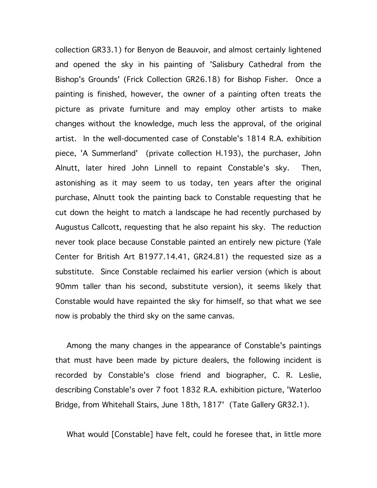collection GR33.1) for Benyon de Beauvoir, and almost certainly lightened and opened the sky in his painting of 'Salisbury Cathedral from the Bishop's Grounds' (Frick Collection GR26.18) for Bishop Fisher. Once a painting is finished, however, the owner of a painting often treats the picture as private furniture and may employ other artists to make changes without the knowledge, much less the approval, of the original artist. In the well-documented case of Constable's 1814 R.A. exhibition piece, 'A Summerland' (private collection H.193), the purchaser, John Alnutt, later hired John Linnell to repaint Constable's sky. Then, astonishing as it may seem to us today, ten years after the original purchase, Alnutt took the painting back to Constable requesting that he cut down the height to match a landscape he had recently purchased by Augustus Callcott, requesting that he also repaint his sky. The reduction never took place because Constable painted an entirely new picture (Yale Center for British Art B1977.14.41, GR24.81) the requested size as a substitute. Since Constable reclaimed his earlier version (which is about 90mm taller than his second, substitute version), it seems likely that Constable would have repainted the sky for himself, so that what we see now is probably the third sky on the same canvas.

Among the many changes in the appearance of Constable's paintings that must have been made by picture dealers, the following incident is recorded by Constable's close friend and biographer, C. R. Leslie, describing Constable's over 7 foot 1832 R.A. exhibition picture, 'Waterloo Bridge, from Whitehall Stairs, June 18th, 1817' (Tate Gallery GR32.1).

What would [Constable] have felt, could he foresee that, in little more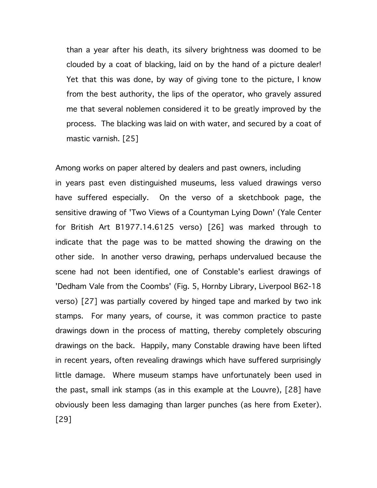than a year after his death, its silvery brightness was doomed to be clouded by a coat of blacking, laid on by the hand of a picture dealer! Yet that this was done, by way of giving tone to the picture, I know from the best authority, the lips of the operator, who gravely assured me that several noblemen considered it to be greatly improved by the process. The blacking was laid on with water, and secured by a coat of mastic varnish. [25]

Among works on paper altered by dealers and past owners, including in years past even distinguished museums, less valued drawings verso have suffered especially. On the verso of a sketchbook page, the sensitive drawing of 'Two Views of a Countyman Lying Down' (Yale Center for British Art B1977.14.6125 verso) [26] was marked through to indicate that the page was to be matted showing the drawing on the other side. In another verso drawing, perhaps undervalued because the scene had not been identified, one of Constable's earliest drawings of 'Dedham Vale from the Coombs' (Fig. 5, Hornby Library, Liverpool B62-18 verso) [27] was partially covered by hinged tape and marked by two ink stamps. For many years, of course, it was common practice to paste drawings down in the process of matting, thereby completely obscuring drawings on the back. Happily, many Constable drawing have been lifted in recent years, often revealing drawings which have suffered surprisingly little damage. Where museum stamps have unfortunately been used in the past, small ink stamps (as in this example at the Louvre), [28] have obviously been less damaging than larger punches (as here from Exeter). [29]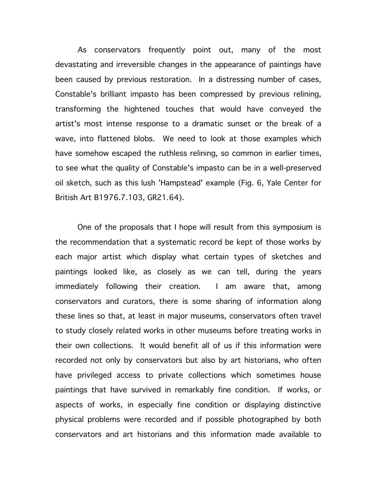As conservators frequently point out, many of the most devastating and irreversible changes in the appearance of paintings have been caused by previous restoration. In a distressing number of cases, Constable's brilliant impasto has been compressed by previous relining, transforming the hightened touches that would have conveyed the artist's most intense response to a dramatic sunset or the break of a wave, into flattened blobs. We need to look at those examples which have somehow escaped the ruthless relining, so common in earlier times, to see what the quality of Constable's impasto can be in a well-preserved oil sketch, such as this lush 'Hampstead' example (Fig. 6, Yale Center for British Art B1976.7.103, GR21.64).

One of the proposals that I hope will result from this symposium is the recommendation that a systematic record be kept of those works by each major artist which display what certain types of sketches and paintings looked like, as closely as we can tell, during the years immediately following their creation. I am aware that, among conservators and curators, there is some sharing of information along these lines so that, at least in major museums, conservators often travel to study closely related works in other museums before treating works in their own collections. It would benefit all of us if this information were recorded not only by conservators but also by art historians, who often have privileged access to private collections which sometimes house paintings that have survived in remarkably fine condition. If works, or aspects of works, in especially fine condition or displaying distinctive physical problems were recorded and if possible photographed by both conservators and art historians and this information made available to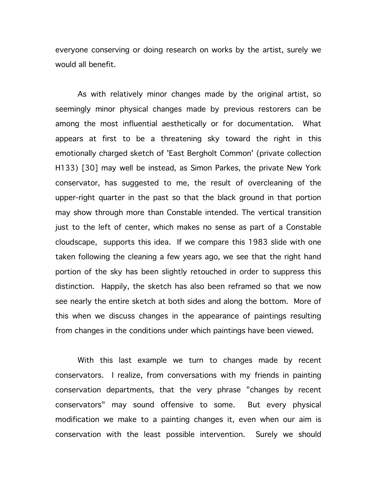everyone conserving or doing research on works by the artist, surely we would all benefit.

As with relatively minor changes made by the original artist, so seemingly minor physical changes made by previous restorers can be among the most influential aesthetically or for documentation. What appears at first to be a threatening sky toward the right in this emotionally charged sketch of 'East Bergholt Common' (private collection H133) [30] may well be instead, as Simon Parkes, the private New York conservator, has suggested to me, the result of overcleaning of the upper-right quarter in the past so that the black ground in that portion may show through more than Constable intended. The vertical transition just to the left of center, which makes no sense as part of a Constable cloudscape, supports this idea. If we compare this 1983 slide with one taken following the cleaning a few years ago, we see that the right hand portion of the sky has been slightly retouched in order to suppress this distinction. Happily, the sketch has also been reframed so that we now see nearly the entire sketch at both sides and along the bottom. More of this when we discuss changes in the appearance of paintings resulting from changes in the conditions under which paintings have been viewed.

With this last example we turn to changes made by recent conservators. I realize, from conversations with my friends in painting conservation departments, that the very phrase "changes by recent conservators" may sound offensive to some. But every physical modification we make to a painting changes it, even when our aim is conservation with the least possible intervention. Surely we should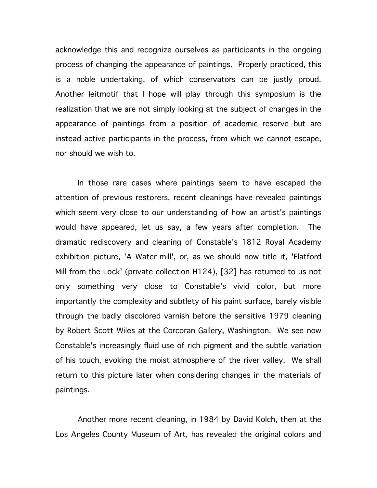acknowledge this and recognize ourselves as participants in the ongoing process of changing the appearance of paintings. Properly practiced, this is a noble undertaking, of which conservators can be justly proud. Another leitmotif that I hope will play through this symposium is the realization that we are not simply looking at the subject of changes in the appearance of paintings from a position of academic reserve but are instead active participants in the process, from which we cannot escape, nor should we wish to.

In those rare cases where paintings seem to have escaped the attention of previous restorers, recent cleanings have revealed paintings which seem very close to our understanding of how an artist's paintings would have appeared, let us say, a few years after completion. The dramatic rediscovery and cleaning of Constable's 1812 Royal Academy exhibition picture, 'A Water-mill', or, as we should now title it, 'Flatford Mill from the Lock' (private collection H124), [32] has returned to us not only something very close to Constable's vivid color, but more importantly the complexity and subtlety of his paint surface, barely visible through the badly discolored varnish before the sensitive 1979 cleaning by Robert Scott Wiles at the Corcoran Gallery, Washington. We see now Constable's increasingly fluid use of rich pigment and the subtle variation of his touch, evoking the moist atmosphere of the river valley. We shall return to this picture later when considering changes in the materials of paintings.

Another more recent cleaning, in 1984 by David Kolch, then at the Los Angeles County Museum of Art, has revealed the original colors and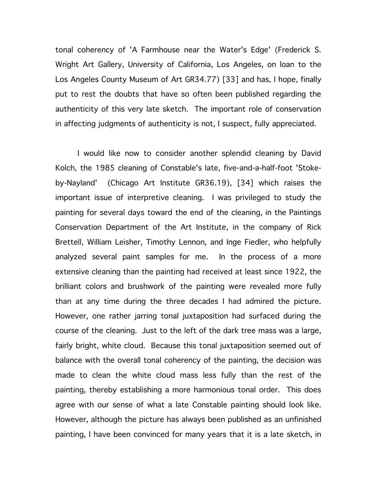tonal coherency of 'A Farmhouse near the Water's Edge' (Frederick S. Wright Art Gallery, University of California, Los Angeles, on loan to the Los Angeles County Museum of Art GR34.77) [33] and has, I hope, finally put to rest the doubts that have so often been published regarding the authenticity of this very late sketch. The important role of conservation in affecting judgments of authenticity is not, I suspect, fully appreciated.

I would like now to consider another splendid cleaning by David Kolch, the 1985 cleaning of Constable's late, five-and-a-half-foot 'Stokeby-Nayland' (Chicago Art Institute GR36.19), [34] which raises the important issue of interpretive cleaning. I was privileged to study the painting for several days toward the end of the cleaning, in the Paintings Conservation Department of the Art Institute, in the company of Rick Brettell, William Leisher, Timothy Lennon, and Inge Fiedler, who helpfully analyzed several paint samples for me. In the process of a more extensive cleaning than the painting had received at least since 1922, the brilliant colors and brushwork of the painting were revealed more fully than at any time during the three decades I had admired the picture. However, one rather jarring tonal juxtaposition had surfaced during the course of the cleaning. Just to the left of the dark tree mass was a large, fairly bright, white cloud. Because this tonal juxtaposition seemed out of balance with the overall tonal coherency of the painting, the decision was made to clean the white cloud mass less fully than the rest of the painting, thereby establishing a more harmonious tonal order. This does agree with our sense of what a late Constable painting should look like. However, although the picture has always been published as an unfinished painting, I have been convinced for many years that it is a late sketch, in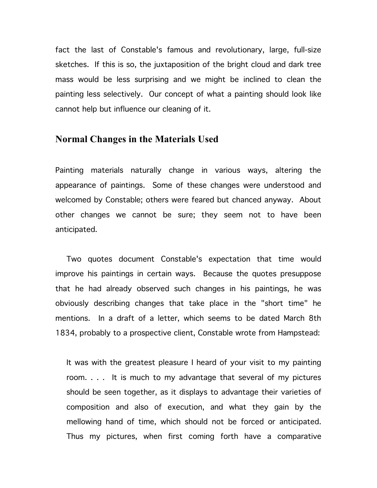fact the last of Constable's famous and revolutionary, large, full-size sketches. If this is so, the juxtaposition of the bright cloud and dark tree mass would be less surprising and we might be inclined to clean the painting less selectively. Our concept of what a painting should look like cannot help but influence our cleaning of it.

#### **Normal Changes in the Materials Used**

Painting materials naturally change in various ways, altering the appearance of paintings. Some of these changes were understood and welcomed by Constable; others were feared but chanced anyway. About other changes we cannot be sure; they seem not to have been anticipated.

Two quotes document Constable's expectation that time would improve his paintings in certain ways. Because the quotes presuppose that he had already observed such changes in his paintings, he was obviously describing changes that take place in the "short time" he mentions. In a draft of a letter, which seems to be dated March 8th 1834, probably to a prospective client, Constable wrote from Hampstead:

It was with the greatest pleasure I heard of your visit to my painting room. . . . It is much to my advantage that several of my pictures should be seen together, as it displays to advantage their varieties of composition and also of execution, and what they gain by the mellowing hand of time, which should not be forced or anticipated. Thus my pictures, when first coming forth have a comparative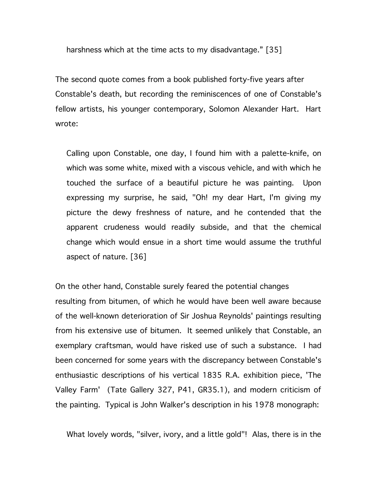harshness which at the time acts to my disadvantage." [35]

The second quote comes from a book published forty-five years after Constable's death, but recording the reminiscences of one of Constable's fellow artists, his younger contemporary, Solomon Alexander Hart. Hart wrote:

Calling upon Constable, one day, I found him with a palette-knife, on which was some white, mixed with a viscous vehicle, and with which he touched the surface of a beautiful picture he was painting. Upon expressing my surprise, he said, "Oh! my dear Hart, I'm giving my picture the dewy freshness of nature, and he contended that the apparent crudeness would readily subside, and that the chemical change which would ensue in a short time would assume the truthful aspect of nature. [36]

On the other hand, Constable surely feared the potential changes resulting from bitumen, of which he would have been well aware because of the well-known deterioration of Sir Joshua Reynolds' paintings resulting from his extensive use of bitumen. It seemed unlikely that Constable, an exemplary craftsman, would have risked use of such a substance. I had been concerned for some years with the discrepancy between Constable's enthusiastic descriptions of his vertical 1835 R.A. exhibition piece, 'The Valley Farm' (Tate Gallery 327, P41, GR35.1), and modern criticism of the painting. Typical is John Walker's description in his 1978 monograph:

What lovely words, "silver, ivory, and a little gold"! Alas, there is in the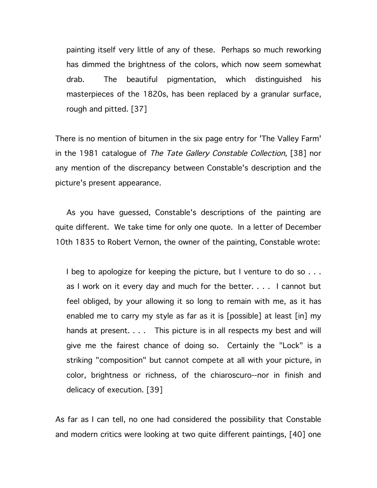painting itself very little of any of these. Perhaps so much reworking has dimmed the brightness of the colors, which now seem somewhat drab. The beautiful pigmentation, which distinguished his masterpieces of the 1820s, has been replaced by a granular surface, rough and pitted. [37]

There is no mention of bitumen in the six page entry for 'The Valley Farm' in the 1981 catalogue of The Tate Gallery Constable Collection, [38] nor any mention of the discrepancy between Constable's description and the picture's present appearance.

As you have guessed, Constable's descriptions of the painting are quite different. We take time for only one quote. In a letter of December 10th 1835 to Robert Vernon, the owner of the painting, Constable wrote:

I beg to apologize for keeping the picture, but I venture to do so . . . as I work on it every day and much for the better. . . . I cannot but feel obliged, by your allowing it so long to remain with me, as it has enabled me to carry my style as far as it is [possible] at least [in] my hands at present.... This picture is in all respects my best and will give me the fairest chance of doing so. Certainly the "Lock" is a striking "composition" but cannot compete at all with your picture, in color, brightness or richness, of the chiaroscuro--nor in finish and delicacy of execution. [39]

As far as I can tell, no one had considered the possibility that Constable and modern critics were looking at two quite different paintings, [40] one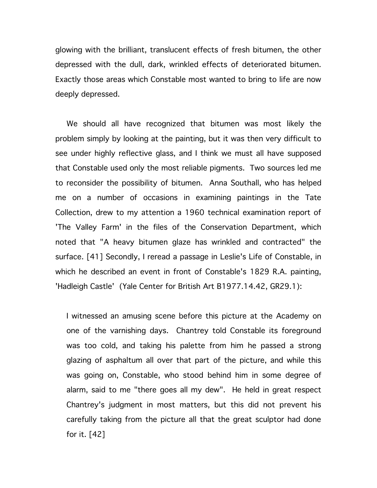glowing with the brilliant, translucent effects of fresh bitumen, the other depressed with the dull, dark, wrinkled effects of deteriorated bitumen. Exactly those areas which Constable most wanted to bring to life are now deeply depressed.

We should all have recognized that bitumen was most likely the problem simply by looking at the painting, but it was then very difficult to see under highly reflective glass, and I think we must all have supposed that Constable used only the most reliable pigments. Two sources led me to reconsider the possibility of bitumen. Anna Southall, who has helped me on a number of occasions in examining paintings in the Tate Collection, drew to my attention a 1960 technical examination report of 'The Valley Farm' in the files of the Conservation Department, which noted that "A heavy bitumen glaze has wrinkled and contracted" the surface. [41] Secondly, I reread a passage in Leslie's Life of Constable, in which he described an event in front of Constable's 1829 R.A. painting, 'Hadleigh Castle' (Yale Center for British Art B1977.14.42, GR29.1):

I witnessed an amusing scene before this picture at the Academy on one of the varnishing days. Chantrey told Constable its foreground was too cold, and taking his palette from him he passed a strong glazing of asphaltum all over that part of the picture, and while this was going on, Constable, who stood behind him in some degree of alarm, said to me "there goes all my dew". He held in great respect Chantrey's judgment in most matters, but this did not prevent his carefully taking from the picture all that the great sculptor had done for it. [42]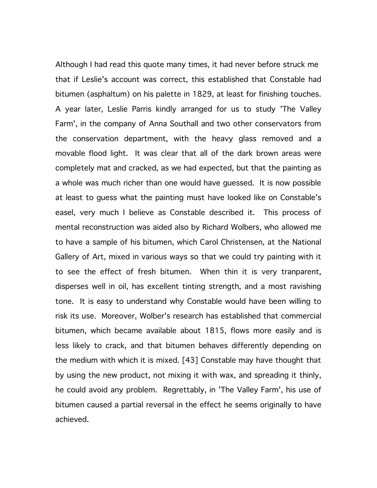Although I had read this quote many times, it had never before struck me that if Leslie's account was correct, this established that Constable had bitumen (asphaltum) on his palette in 1829, at least for finishing touches. A year later, Leslie Parris kindly arranged for us to study 'The Valley Farm', in the company of Anna Southall and two other conservators from the conservation department, with the heavy glass removed and a movable flood light. It was clear that all of the dark brown areas were completely mat and cracked, as we had expected, but that the painting as a whole was much richer than one would have guessed. It is now possible at least to guess what the painting must have looked like on Constable's easel, very much I believe as Constable described it. This process of mental reconstruction was aided also by Richard Wolbers, who allowed me to have a sample of his bitumen, which Carol Christensen, at the National Gallery of Art, mixed in various ways so that we could try painting with it to see the effect of fresh bitumen. When thin it is very tranparent, disperses well in oil, has excellent tinting strength, and a most ravishing tone. It is easy to understand why Constable would have been willing to risk its use. Moreover, Wolber's research has established that commercial bitumen, which became available about 1815, flows more easily and is less likely to crack, and that bitumen behaves differently depending on the medium with which it is mixed. [43] Constable may have thought that by using the new product, not mixing it with wax, and spreading it thinly, he could avoid any problem. Regrettably, in 'The Valley Farm', his use of bitumen caused a partial reversal in the effect he seems originally to have achieved.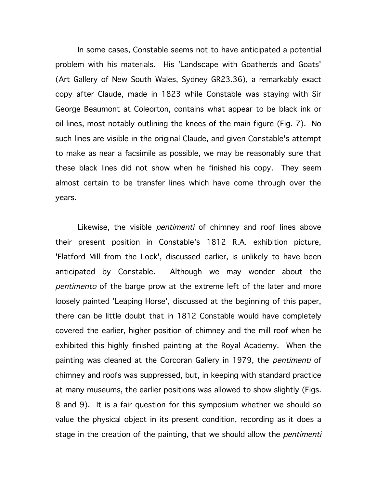In some cases, Constable seems not to have anticipated a potential problem with his materials. His 'Landscape with Goatherds and Goats' (Art Gallery of New South Wales, Sydney GR23.36), a remarkably exact copy after Claude, made in 1823 while Constable was staying with Sir George Beaumont at Coleorton, contains what appear to be black ink or oil lines, most notably outlining the knees of the main figure (Fig. 7). No such lines are visible in the original Claude, and given Constable's attempt to make as near a facsimile as possible, we may be reasonably sure that these black lines did not show when he finished his copy. They seem almost certain to be transfer lines which have come through over the years.

Likewise, the visible *pentimenti* of chimney and roof lines above their present position in Constable's 1812 R.A. exhibition picture, 'Flatford Mill from the Lock', discussed earlier, is unlikely to have been anticipated by Constable. Although we may wonder about the pentimento of the barge prow at the extreme left of the later and more loosely painted 'Leaping Horse', discussed at the beginning of this paper, there can be little doubt that in 1812 Constable would have completely covered the earlier, higher position of chimney and the mill roof when he exhibited this highly finished painting at the Royal Academy. When the painting was cleaned at the Corcoran Gallery in 1979, the *pentimenti* of chimney and roofs was suppressed, but, in keeping with standard practice at many museums, the earlier positions was allowed to show slightly (Figs. 8 and 9). It is a fair question for this symposium whether we should so value the physical object in its present condition, recording as it does a stage in the creation of the painting, that we should allow the *pentimenti*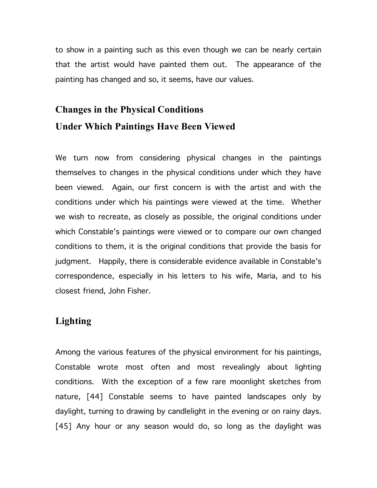to show in a painting such as this even though we can be nearly certain that the artist would have painted them out. The appearance of the painting has changed and so, it seems, have our values.

## **Changes in the Physical Conditions Under Which Paintings Have Been Viewed**

We turn now from considering physical changes in the paintings themselves to changes in the physical conditions under which they have been viewed. Again, our first concern is with the artist and with the conditions under which his paintings were viewed at the time. Whether we wish to recreate, as closely as possible, the original conditions under which Constable's paintings were viewed or to compare our own changed conditions to them, it is the original conditions that provide the basis for judgment. Happily, there is considerable evidence available in Constable's correspondence, especially in his letters to his wife, Maria, and to his closest friend, John Fisher.

### **Lighting**

Among the various features of the physical environment for his paintings, Constable wrote most often and most revealingly about lighting conditions. With the exception of a few rare moonlight sketches from nature, [44] Constable seems to have painted landscapes only by daylight, turning to drawing by candlelight in the evening or on rainy days. [45] Any hour or any season would do, so long as the daylight was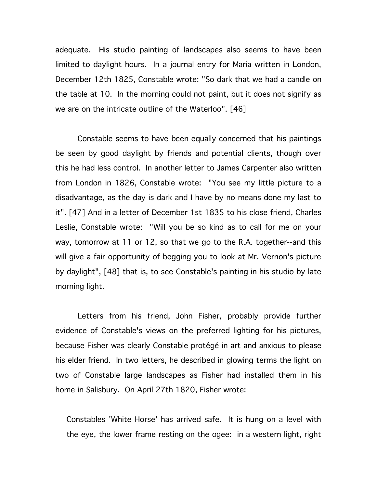adequate. His studio painting of landscapes also seems to have been limited to daylight hours. In a journal entry for Maria written in London, December 12th 1825, Constable wrote: "So dark that we had a candle on the table at 10. In the morning could not paint, but it does not signify as we are on the intricate outline of the Waterloo". [46]

Constable seems to have been equally concerned that his paintings be seen by good daylight by friends and potential clients, though over this he had less control. In another letter to James Carpenter also written from London in 1826, Constable wrote: "You see my little picture to a disadvantage, as the day is dark and I have by no means done my last to it". [47] And in a letter of December 1st 1835 to his close friend, Charles Leslie, Constable wrote: "Will you be so kind as to call for me on your way, tomorrow at 11 or 12, so that we go to the R.A. together--and this will give a fair opportunity of begging you to look at Mr. Vernon's picture by daylight", [48] that is, to see Constable's painting in his studio by late morning light.

Letters from his friend, John Fisher, probably provide further evidence of Constable's views on the preferred lighting for his pictures, because Fisher was clearly Constable protégé in art and anxious to please his elder friend. In two letters, he described in glowing terms the light on two of Constable large landscapes as Fisher had installed them in his home in Salisbury. On April 27th 1820, Fisher wrote:

Constables 'White Horse' has arrived safe. It is hung on a level with the eye, the lower frame resting on the ogee: in a western light, right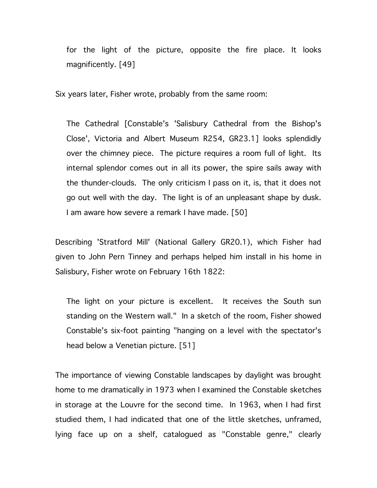for the light of the picture, opposite the fire place. It looks magnificently. [49]

Six years later, Fisher wrote, probably from the same room:

The Cathedral [Constable's 'Salisbury Cathedral from the Bishop's Close', Victoria and Albert Museum R254, GR23.1] looks splendidly over the chimney piece. The picture requires a room full of light. Its internal splendor comes out in all its power, the spire sails away with the thunder-clouds. The only criticism I pass on it, is, that it does not go out well with the day. The light is of an unpleasant shape by dusk. I am aware how severe a remark I have made. [50]

Describing 'Stratford Mill' (National Gallery GR20.1), which Fisher had given to John Pern Tinney and perhaps helped him install in his home in Salisbury, Fisher wrote on February 16th 1822:

The light on your picture is excellent. It receives the South sun standing on the Western wall." In a sketch of the room, Fisher showed Constable's six-foot painting "hanging on a level with the spectator's head below a Venetian picture. [51]

The importance of viewing Constable landscapes by daylight was brought home to me dramatically in 1973 when I examined the Constable sketches in storage at the Louvre for the second time. In 1963, when I had first studied them, I had indicated that one of the little sketches, unframed, lying face up on a shelf, catalogued as "Constable genre," clearly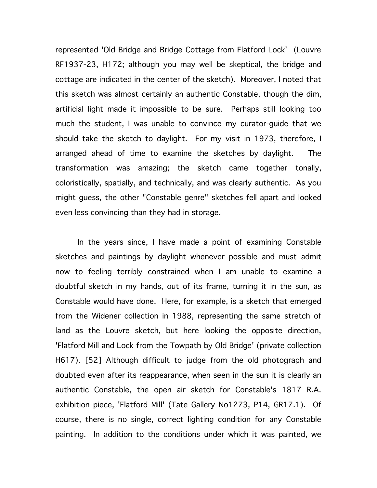represented 'Old Bridge and Bridge Cottage from Flatford Lock' (Louvre RF1937-23, H172; although you may well be skeptical, the bridge and cottage are indicated in the center of the sketch). Moreover, I noted that this sketch was almost certainly an authentic Constable, though the dim, artificial light made it impossible to be sure. Perhaps still looking too much the student, I was unable to convince my curator-guide that we should take the sketch to daylight. For my visit in 1973, therefore, I arranged ahead of time to examine the sketches by daylight. The transformation was amazing; the sketch came together tonally, coloristically, spatially, and technically, and was clearly authentic. As you might guess, the other "Constable genre" sketches fell apart and looked even less convincing than they had in storage.

In the years since, I have made a point of examining Constable sketches and paintings by daylight whenever possible and must admit now to feeling terribly constrained when I am unable to examine a doubtful sketch in my hands, out of its frame, turning it in the sun, as Constable would have done. Here, for example, is a sketch that emerged from the Widener collection in 1988, representing the same stretch of land as the Louvre sketch, but here looking the opposite direction, 'Flatford Mill and Lock from the Towpath by Old Bridge' (private collection H617). [52] Although difficult to judge from the old photograph and doubted even after its reappearance, when seen in the sun it is clearly an authentic Constable, the open air sketch for Constable's 1817 R.A. exhibition piece, 'Flatford Mill' (Tate Gallery No1273, P14, GR17.1). Of course, there is no single, correct lighting condition for any Constable painting. In addition to the conditions under which it was painted, we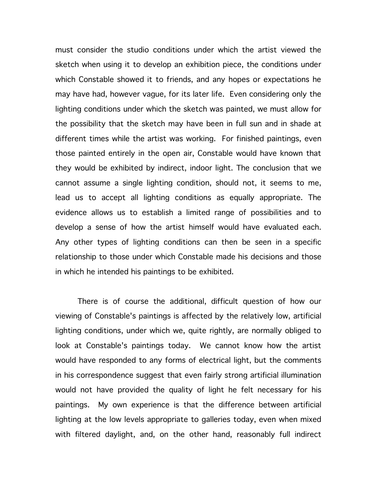must consider the studio conditions under which the artist viewed the sketch when using it to develop an exhibition piece, the conditions under which Constable showed it to friends, and any hopes or expectations he may have had, however vague, for its later life. Even considering only the lighting conditions under which the sketch was painted, we must allow for the possibility that the sketch may have been in full sun and in shade at different times while the artist was working. For finished paintings, even those painted entirely in the open air, Constable would have known that they would be exhibited by indirect, indoor light. The conclusion that we cannot assume a single lighting condition, should not, it seems to me, lead us to accept all lighting conditions as equally appropriate. The evidence allows us to establish a limited range of possibilities and to develop a sense of how the artist himself would have evaluated each. Any other types of lighting conditions can then be seen in a specific relationship to those under which Constable made his decisions and those in which he intended his paintings to be exhibited.

There is of course the additional, difficult question of how our viewing of Constable's paintings is affected by the relatively low, artificial lighting conditions, under which we, quite rightly, are normally obliged to look at Constable's paintings today. We cannot know how the artist would have responded to any forms of electrical light, but the comments in his correspondence suggest that even fairly strong artificial illumination would not have provided the quality of light he felt necessary for his paintings. My own experience is that the difference between artificial lighting at the low levels appropriate to galleries today, even when mixed with filtered daylight, and, on the other hand, reasonably full indirect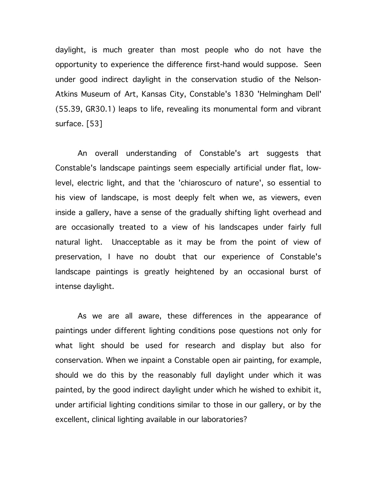daylight, is much greater than most people who do not have the opportunity to experience the difference first-hand would suppose. Seen under good indirect daylight in the conservation studio of the Nelson-Atkins Museum of Art, Kansas City, Constable's 1830 'Helmingham Dell' (55.39, GR30.1) leaps to life, revealing its monumental form and vibrant surface. [53]

An overall understanding of Constable's art suggests that Constable's landscape paintings seem especially artificial under flat, lowlevel, electric light, and that the 'chiaroscuro of nature', so essential to his view of landscape, is most deeply felt when we, as viewers, even inside a gallery, have a sense of the gradually shifting light overhead and are occasionally treated to a view of his landscapes under fairly full natural light. Unacceptable as it may be from the point of view of preservation, I have no doubt that our experience of Constable's landscape paintings is greatly heightened by an occasional burst of intense daylight.

As we are all aware, these differences in the appearance of paintings under different lighting conditions pose questions not only for what light should be used for research and display but also for conservation. When we inpaint a Constable open air painting, for example, should we do this by the reasonably full daylight under which it was painted, by the good indirect daylight under which he wished to exhibit it, under artificial lighting conditions similar to those in our gallery, or by the excellent, clinical lighting available in our laboratories?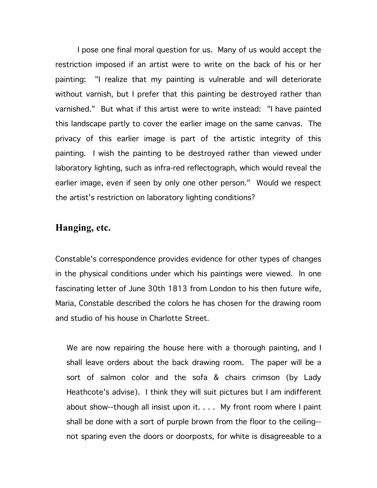I pose one final moral question for us. Many of us would accept the restriction imposed if an artist were to write on the back of his or her painting: "I realize that my painting is vulnerable and will deteriorate without varnish, but I prefer that this painting be destroyed rather than varnished." But what if this artist were to write instead: "I have painted this landscape partly to cover the earlier image on the same canvas. The privacy of this earlier image is part of the artistic integrity of this painting. I wish the painting to be destroyed rather than viewed under laboratory lighting, such as infra-red reflectograph, which would reveal the earlier image, even if seen by only one other person." Would we respect the artist's restriction on laboratory lighting conditions?

### **Hanging, etc.**

Constable's correspondence provides evidence for other types of changes in the physical conditions under which his paintings were viewed. In one fascinating letter of June 30th 1813 from London to his then future wife, Maria, Constable described the colors he has chosen for the drawing room and studio of his house in Charlotte Street.

We are now repairing the house here with a thorough painting, and I shall leave orders about the back drawing room. The paper will be a sort of salmon color and the sofa & chairs crimson (by Lady Heathcote's advise). I think they will suit pictures but I am indifferent about show--though all insist upon it. . . . My front room where I paint shall be done with a sort of purple brown from the floor to the ceiling- not sparing even the doors or doorposts, for white is disagreeable to a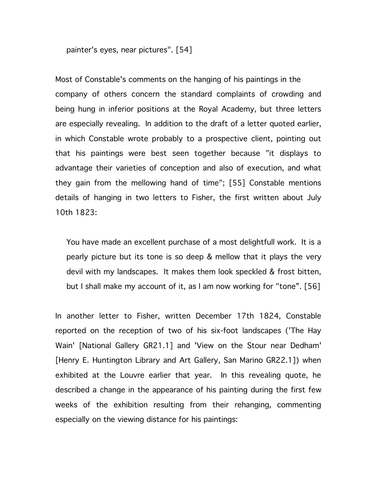painter's eyes, near pictures". [54]

Most of Constable's comments on the hanging of his paintings in the company of others concern the standard complaints of crowding and being hung in inferior positions at the Royal Academy, but three letters are especially revealing. In addition to the draft of a letter quoted earlier, in which Constable wrote probably to a prospective client, pointing out that his paintings were best seen together because "it displays to advantage their varieties of conception and also of execution, and what they gain from the mellowing hand of time"; [55] Constable mentions details of hanging in two letters to Fisher, the first written about July 10th 1823:

You have made an excellent purchase of a most delightfull work. It is a pearly picture but its tone is so deep & mellow that it plays the very devil with my landscapes. It makes them look speckled & frost bitten, but I shall make my account of it, as I am now working for "tone". [56]

In another letter to Fisher, written December 17th 1824, Constable reported on the reception of two of his six-foot landscapes ('The Hay Wain' [National Gallery GR21.1] and 'View on the Stour near Dedham' [Henry E. Huntington Library and Art Gallery, San Marino GR22.1]) when exhibited at the Louvre earlier that year. In this revealing quote, he described a change in the appearance of his painting during the first few weeks of the exhibition resulting from their rehanging, commenting especially on the viewing distance for his paintings: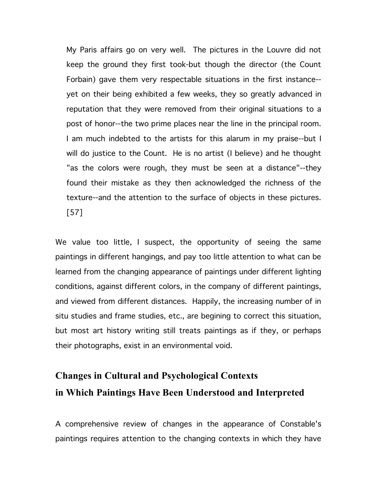My Paris affairs go on very well. The pictures in the Louvre did not keep the ground they first took-but though the director (the Count Forbain) gave them very respectable situations in the first instance- yet on their being exhibited a few weeks, they so greatly advanced in reputation that they were removed from their original situations to a post of honor--the two prime places near the line in the principal room. I am much indebted to the artists for this alarum in my praise--but I will do justice to the Count. He is no artist (I believe) and he thought "as the colors were rough, they must be seen at a distance"--they found their mistake as they then acknowledged the richness of the texture--and the attention to the surface of objects in these pictures. [57]

We value too little, I suspect, the opportunity of seeing the same paintings in different hangings, and pay too little attention to what can be learned from the changing appearance of paintings under different lighting conditions, against different colors, in the company of different paintings, and viewed from different distances. Happily, the increasing number of in situ studies and frame studies, etc., are begining to correct this situation, but most art history writing still treats paintings as if they, or perhaps their photographs, exist in an environmental void.

### **Changes in Cultural and Psychological Contexts in Which Paintings Have Been Understood and Interpreted**

A comprehensive review of changes in the appearance of Constable's paintings requires attention to the changing contexts in which they have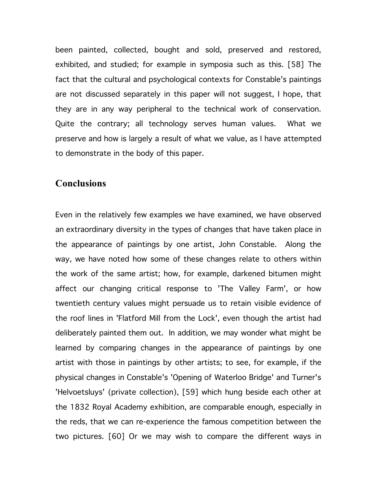been painted, collected, bought and sold, preserved and restored, exhibited, and studied; for example in symposia such as this. [58] The fact that the cultural and psychological contexts for Constable's paintings are not discussed separately in this paper will not suggest, I hope, that they are in any way peripheral to the technical work of conservation. Quite the contrary; all technology serves human values. What we preserve and how is largely a result of what we value, as I have attempted to demonstrate in the body of this paper.

### **Conclusions**

Even in the relatively few examples we have examined, we have observed an extraordinary diversity in the types of changes that have taken place in the appearance of paintings by one artist, John Constable. Along the way, we have noted how some of these changes relate to others within the work of the same artist; how, for example, darkened bitumen might affect our changing critical response to 'The Valley Farm', or how twentieth century values might persuade us to retain visible evidence of the roof lines in 'Flatford Mill from the Lock', even though the artist had deliberately painted them out. In addition, we may wonder what might be learned by comparing changes in the appearance of paintings by one artist with those in paintings by other artists; to see, for example, if the physical changes in Constable's 'Opening of Waterloo Bridge' and Turner's 'Helvoetsluys' (private collection), [59] which hung beside each other at the 1832 Royal Academy exhibition, are comparable enough, especially in the reds, that we can re-experience the famous competition between the two pictures. [60] Or we may wish to compare the different ways in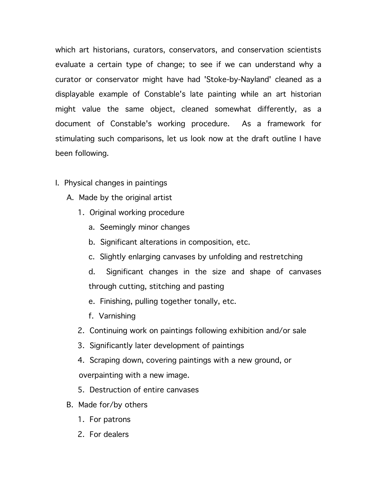which art historians, curators, conservators, and conservation scientists evaluate a certain type of change; to see if we can understand why a curator or conservator might have had 'Stoke-by-Nayland' cleaned as a displayable example of Constable's late painting while an art historian might value the same object, cleaned somewhat differently, as a document of Constable's working procedure. As a framework for stimulating such comparisons, let us look now at the draft outline I have been following.

- I. Physical changes in paintings
	- A. Made by the original artist
		- 1. Original working procedure
			- a. Seemingly minor changes
			- b. Significant alterations in composition, etc.
			- c. Slightly enlarging canvases by unfolding and restretching
			- d. Significant changes in the size and shape of canvases through cutting, stitching and pasting
			- e. Finishing, pulling together tonally, etc.
			- f. Varnishing
		- 2. Continuing work on paintings following exhibition and/or sale
		- 3. Significantly later development of paintings
		- 4. Scraping down, covering paintings with a new ground, or overpainting with a new image.
		- 5. Destruction of entire canvases
	- B. Made for/by others
		- 1. For patrons
		- 2. For dealers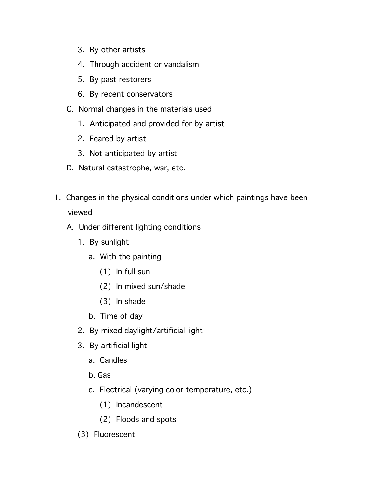- 3. By other artists
- 4. Through accident or vandalism
- 5. By past restorers
- 6. By recent conservators
- C. Normal changes in the materials used
	- 1. Anticipated and provided for by artist
	- 2. Feared by artist
	- 3. Not anticipated by artist
- D. Natural catastrophe, war, etc.
- II. Changes in the physical conditions under which paintings have been viewed
	- A. Under different lighting conditions
		- 1. By sunlight
			- a. With the painting
				- (1) In full sun
				- (2) In mixed sun/shade
				- (3) In shade
			- b. Time of day
		- 2. By mixed daylight/artificial light
		- 3. By artificial light
			- a. Candles
			- b. Gas
			- c. Electrical (varying color temperature, etc.)
				- (1) Incandescent
				- (2) Floods and spots
		- (3) Fluorescent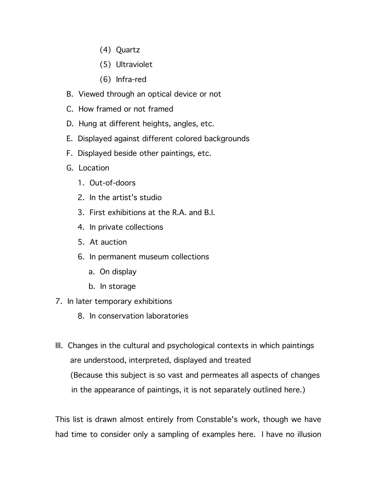- (4) Quartz
- (5) Ultraviolet
- (6) Infra-red
- B. Viewed through an optical device or not
- C. How framed or not framed
- D. Hung at different heights, angles, etc.
- E. Displayed against different colored backgrounds
- F. Displayed beside other paintings, etc.
- G. Location
	- 1. Out-of-doors
	- 2. In the artist's studio
	- 3. First exhibitions at the R.A. and B.I.
	- 4. In private collections
	- 5. At auction
	- 6. In permanent museum collections
		- a. On display
		- b. In storage
- 7. In later temporary exhibitions
	- 8. In conservation laboratories
- III. Changes in the cultural and psychological contexts in which paintings are understood, interpreted, displayed and treated (Because this subject is so vast and permeates all aspects of changes in the appearance of paintings, it is not separately outlined here.)

This list is drawn almost entirely from Constable's work, though we have had time to consider only a sampling of examples here. I have no illusion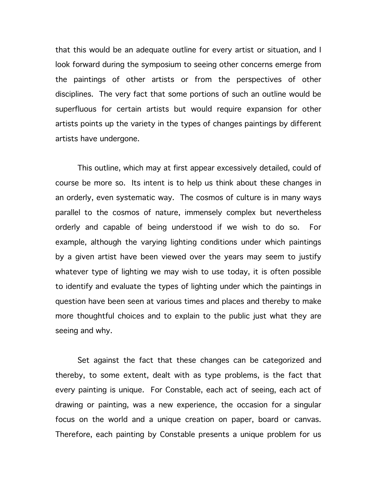that this would be an adequate outline for every artist or situation, and I look forward during the symposium to seeing other concerns emerge from the paintings of other artists or from the perspectives of other disciplines. The very fact that some portions of such an outline would be superfluous for certain artists but would require expansion for other artists points up the variety in the types of changes paintings by different artists have undergone.

This outline, which may at first appear excessively detailed, could of course be more so. Its intent is to help us think about these changes in an orderly, even systematic way. The cosmos of culture is in many ways parallel to the cosmos of nature, immensely complex but nevertheless orderly and capable of being understood if we wish to do so. For example, although the varying lighting conditions under which paintings by a given artist have been viewed over the years may seem to justify whatever type of lighting we may wish to use today, it is often possible to identify and evaluate the types of lighting under which the paintings in question have been seen at various times and places and thereby to make more thoughtful choices and to explain to the public just what they are seeing and why.

Set against the fact that these changes can be categorized and thereby, to some extent, dealt with as type problems, is the fact that every painting is unique. For Constable, each act of seeing, each act of drawing or painting, was a new experience, the occasion for a singular focus on the world and a unique creation on paper, board or canvas. Therefore, each painting by Constable presents a unique problem for us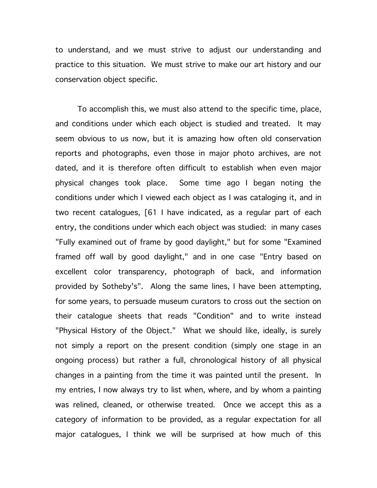to understand, and we must strive to adjust our understanding and practice to this situation. We must strive to make our art history and our conservation object specific.

To accomplish this, we must also attend to the specific time, place, and conditions under which each object is studied and treated. It may seem obvious to us now, but it is amazing how often old conservation reports and photographs, even those in major photo archives, are not dated, and it is therefore often difficult to establish when even major physical changes took place. Some time ago I began noting the conditions under which I viewed each object as I was cataloging it, and in two recent catalogues, [61 I have indicated, as a regular part of each entry, the conditions under which each object was studied: in many cases "Fully examined out of frame by good daylight," but for some "Examined framed off wall by good daylight," and in one case "Entry based on excellent color transparency, photograph of back, and information provided by Sotheby's". Along the same lines, I have been attempting, for some years, to persuade museum curators to cross out the section on their catalogue sheets that reads "Condition" and to write instead "Physical History of the Object." What we should like, ideally, is surely not simply a report on the present condition (simply one stage in an ongoing process) but rather a full, chronological history of all physical changes in a painting from the time it was painted until the present. In my entries, I now always try to list when, where, and by whom a painting was relined, cleaned, or otherwise treated. Once we accept this as a category of information to be provided, as a regular expectation for all major catalogues, I think we will be surprised at how much of this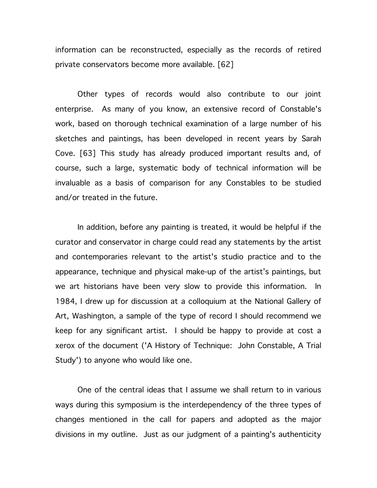information can be reconstructed, especially as the records of retired private conservators become more available. [62]

Other types of records would also contribute to our joint enterprise. As many of you know, an extensive record of Constable's work, based on thorough technical examination of a large number of his sketches and paintings, has been developed in recent years by Sarah Cove. [63] This study has already produced important results and, of course, such a large, systematic body of technical information will be invaluable as a basis of comparison for any Constables to be studied and/or treated in the future.

In addition, before any painting is treated, it would be helpful if the curator and conservator in charge could read any statements by the artist and contemporaries relevant to the artist's studio practice and to the appearance, technique and physical make-up of the artist's paintings, but we art historians have been very slow to provide this information. In 1984, I drew up for discussion at a colloquium at the National Gallery of Art, Washington, a sample of the type of record I should recommend we keep for any significant artist. I should be happy to provide at cost a xerox of the document ('A History of Technique: John Constable, A Trial Study') to anyone who would like one.

One of the central ideas that I assume we shall return to in various ways during this symposium is the interdependency of the three types of changes mentioned in the call for papers and adopted as the major divisions in my outline. Just as our judgment of a painting's authenticity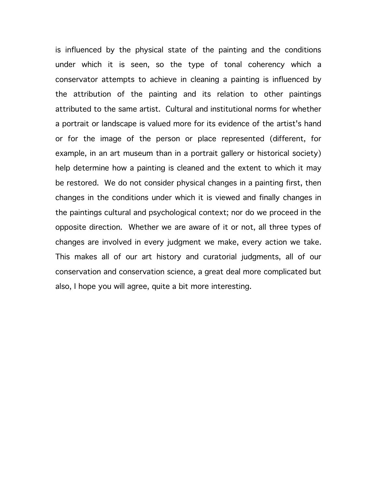is influenced by the physical state of the painting and the conditions under which it is seen, so the type of tonal coherency which a conservator attempts to achieve in cleaning a painting is influenced by the attribution of the painting and its relation to other paintings attributed to the same artist. Cultural and institutional norms for whether a portrait or landscape is valued more for its evidence of the artist's hand or for the image of the person or place represented (different, for example, in an art museum than in a portrait gallery or historical society) help determine how a painting is cleaned and the extent to which it may be restored. We do not consider physical changes in a painting first, then changes in the conditions under which it is viewed and finally changes in the paintings cultural and psychological context; nor do we proceed in the opposite direction. Whether we are aware of it or not, all three types of changes are involved in every judgment we make, every action we take. This makes all of our art history and curatorial judgments, all of our conservation and conservation science, a great deal more complicated but also, I hope you will agree, quite a bit more interesting.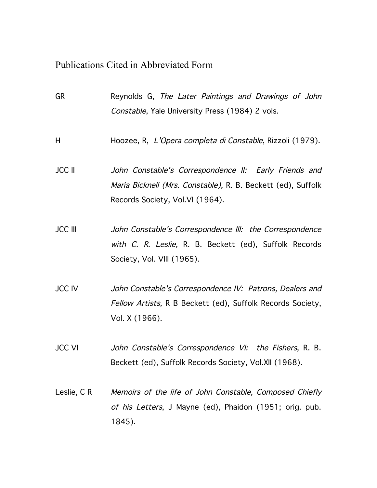### Publications Cited in Abbreviated Form

| <b>GR</b>      | Reynolds G, The Later Paintings and Drawings of John<br>Constable, Yale University Press (1984) 2 vols.                                                  |
|----------------|----------------------------------------------------------------------------------------------------------------------------------------------------------|
| H              | Hoozee, R, L'Opera completa di Constable, Rizzoli (1979).                                                                                                |
| <b>JCC II</b>  | John Constable's Correspondence II: Early Friends and<br>Maria Bicknell (Mrs. Constable), R. B. Beckett (ed), Suffolk<br>Records Society, Vol.VI (1964). |
| <b>JCC III</b> | John Constable's Correspondence III: the Correspondence<br>with C. R. Leslie, R. B. Beckett (ed), Suffolk Records<br>Society, Vol. VIII (1965).          |
| <b>JCC IV</b>  | John Constable's Correspondence IV: Patrons, Dealers and<br>Fellow Artists, R B Beckett (ed), Suffolk Records Society,<br>Vol. X (1966).                 |
| <b>JCC VI</b>  | John Constable's Correspondence VI: the Fishers, R. B.<br>Beckett (ed), Suffolk Records Society, Vol.XII (1968).                                         |
| Leslie, CR     | Memoirs of the life of John Constable, Composed Chiefly<br>of his Letters, J Mayne (ed), Phaidon (1951; orig. pub.<br>1845).                             |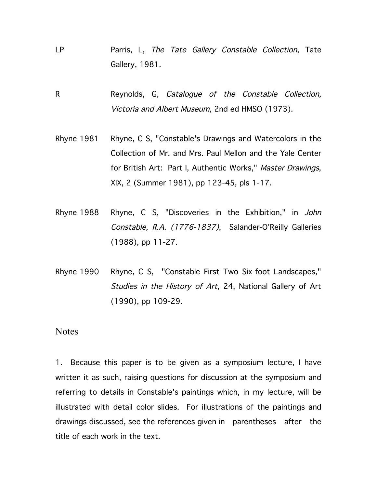- LP Parris, L, The Tate Gallery Constable Collection, Tate Gallery, 1981.
- R Reynolds, G, Catalogue of the Constable Collection, Victoria and Albert Museum, 2nd ed HMSO (1973).
- Rhyne 1981 Rhyne, C S, "Constable's Drawings and Watercolors in the Collection of Mr. and Mrs. Paul Mellon and the Yale Center for British Art: Part I, Authentic Works," Master Drawings, XIX, 2 (Summer 1981), pp 123-45, pls 1-17.
- Rhyne 1988 Rhyne, C S, "Discoveries in the Exhibition," in John Constable, R.A. (1776-1837), Salander-O'Reilly Galleries (1988), pp 11-27.
- Rhyne 1990 Rhyne, C S, "Constable First Two Six-foot Landscapes," Studies in the History of Art, 24, National Gallery of Art (1990), pp 109-29.

#### Notes

1. Because this paper is to be given as a symposium lecture, I have written it as such, raising questions for discussion at the symposium and referring to details in Constable's paintings which, in my lecture, will be illustrated with detail color slides. For illustrations of the paintings and drawings discussed, see the references given in parentheses after the title of each work in the text.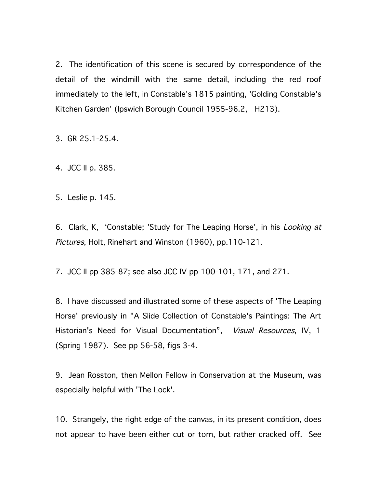2. The identification of this scene is secured by correspondence of the detail of the windmill with the same detail, including the red roof immediately to the left, in Constable's 1815 painting, 'Golding Constable's Kitchen Garden' (Ipswich Borough Council 1955-96.2, H213).

3. GR 25.1-25.4.

4. JCC II p. 385.

5. Leslie p. 145.

6. Clark, K, 'Constable; 'Study for The Leaping Horse', in his Looking at Pictures, Holt, Rinehart and Winston (1960), pp.110-121.

7. JCC II pp 385-87; see also JCC IV pp 100-101, 171, and 271.

8. I have discussed and illustrated some of these aspects of 'The Leaping Horse' previously in "A Slide Collection of Constable's Paintings: The Art Historian's Need for Visual Documentation", Visual Resources, IV, 1 (Spring 1987). See pp 56-58, figs 3-4.

9. Jean Rosston, then Mellon Fellow in Conservation at the Museum, was especially helpful with 'The Lock'.

10. Strangely, the right edge of the canvas, in its present condition, does not appear to have been either cut or torn, but rather cracked off. See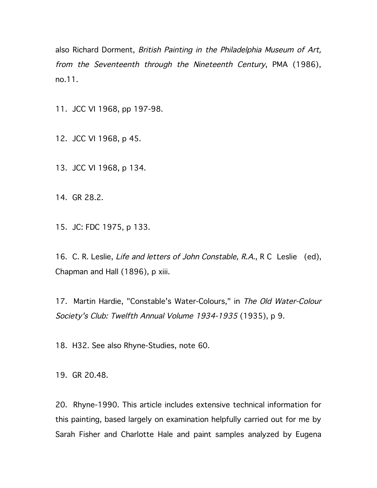also Richard Dorment, British Painting in the Philadelphia Museum of Art, from the Seventeenth through the Nineteenth Century, PMA (1986), no.11.

11. JCC VI 1968, pp 197-98.

12. JCC VI 1968, p 45.

13. JCC VI 1968, p 134.

14. GR 28.2.

15. JC: FDC 1975, p 133.

16. C. R. Leslie, Life and letters of John Constable, R.A., R C Leslie (ed), Chapman and Hall (1896), p xiii.

17. Martin Hardie, "Constable's Water-Colours," in The Old Water-Colour Society's Club: Twelfth Annual Volume 1934-1935 (1935), p 9.

18. H32. See also Rhyne-Studies, note 60.

19. GR 20.48.

20. Rhyne-1990. This article includes extensive technical information for this painting, based largely on examination helpfully carried out for me by Sarah Fisher and Charlotte Hale and paint samples analyzed by Eugena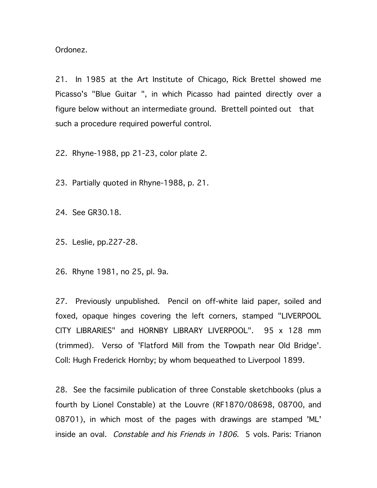Ordonez.

21. In 1985 at the Art Institute of Chicago, Rick Brettel showed me Picasso's "Blue Guitar ", in which Picasso had painted directly over a figure below without an intermediate ground. Brettell pointed out that such a procedure required powerful control.

22. Rhyne-1988, pp 21-23, color plate 2.

23. Partially quoted in Rhyne-1988, p. 21.

24. See GR30.18.

25. Leslie, pp.227-28.

26. Rhyne 1981, no 25, pl. 9a.

27. Previously unpublished. Pencil on off-white laid paper, soiled and foxed, opaque hinges covering the left corners, stamped "LIVERPOOL CITY LIBRARIES" and HORNBY LIBRARY LIVERPOOL". 95 x 128 mm (trimmed). Verso of 'Flatford Mill from the Towpath near Old Bridge'. Coll: Hugh Frederick Hornby; by whom bequeathed to Liverpool 1899.

28. See the facsimile publication of three Constable sketchbooks (plus a fourth by Lionel Constable) at the Louvre (RF1870/08698, 08700, and 08701), in which most of the pages with drawings are stamped 'ML' inside an oval. Constable and his Friends in 1806. 5 vols. Paris: Trianon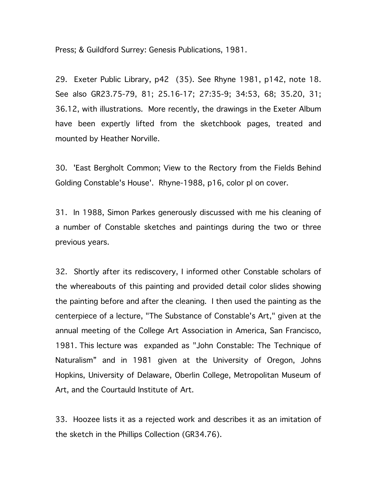Press; & Guildford Surrey: Genesis Publications, 1981.

29. Exeter Public Library, p42 (35). See Rhyne 1981, p142, note 18. See also GR23.75-79, 81; 25.16-17; 27:35-9; 34:53, 68; 35.20, 31; 36.12, with illustrations. More recently, the drawings in the Exeter Album have been expertly lifted from the sketchbook pages, treated and mounted by Heather Norville.

30. 'East Bergholt Common; View to the Rectory from the Fields Behind Golding Constable's House'. Rhyne-1988, p16, color pl on cover.

31. In 1988, Simon Parkes generously discussed with me his cleaning of a number of Constable sketches and paintings during the two or three previous years.

32. Shortly after its rediscovery, I informed other Constable scholars of the whereabouts of this painting and provided detail color slides showing the painting before and after the cleaning. I then used the painting as the centerpiece of a lecture, "The Substance of Constable's Art," given at the annual meeting of the College Art Association in America, San Francisco, 1981. This lecture was expanded as "John Constable: The Technique of Naturalism" and in 1981 given at the University of Oregon, Johns Hopkins, University of Delaware, Oberlin College, Metropolitan Museum of Art, and the Courtauld Institute of Art.

33. Hoozee lists it as a rejected work and describes it as an imitation of the sketch in the Phillips Collection (GR34.76).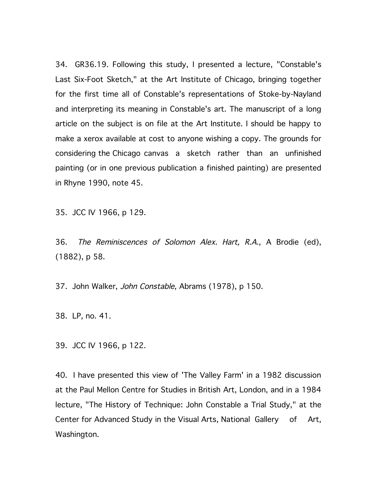34. GR36.19. Following this study, I presented a lecture, "Constable's Last Six-Foot Sketch," at the Art Institute of Chicago, bringing together for the first time all of Constable's representations of Stoke-by-Nayland and interpreting its meaning in Constable's art. The manuscript of a long article on the subject is on file at the Art Institute. I should be happy to make a xerox available at cost to anyone wishing a copy. The grounds for considering the Chicago canvas a sketch rather than an unfinished painting (or in one previous publication a finished painting) are presented in Rhyne 1990, note 45.

35. JCC IV 1966, p 129.

36. The Reminiscences of Solomon Alex. Hart, R.A., A Brodie (ed), (1882), p 58.

37. John Walker, John Constable, Abrams (1978), p 150.

38. LP, no. 41.

39. JCC IV 1966, p 122.

40. I have presented this view of 'The Valley Farm' in a 1982 discussion at the Paul Mellon Centre for Studies in British Art, London, and in a 1984 lecture, "The History of Technique: John Constable a Trial Study," at the Center for Advanced Study in the Visual Arts, National Gallery of Art, Washington.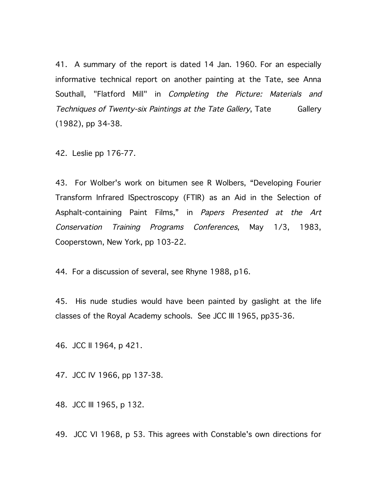41. A summary of the report is dated 14 Jan. 1960. For an especially informative technical report on another painting at the Tate, see Anna Southall, "Flatford Mill" in Completing the Picture: Materials and Techniques of Twenty-six Paintings at the Tate Gallery, Tate Gallery (1982), pp 34-38.

42. Leslie pp 176-77.

43. For Wolber's work on bitumen see R Wolbers, "Developing Fourier Transform Infrared ISpectroscopy (FTIR) as an Aid in the Selection of Asphalt-containing Paint Films," in Papers Presented at the Art Conservation Training Programs Conferences, May 1/3, 1983, Cooperstown, New York, pp 103-22.

44. For a discussion of several, see Rhyne 1988, p16.

45. His nude studies would have been painted by gaslight at the life classes of the Royal Academy schools. See JCC III 1965, pp35-36.

46. JCC II 1964, p 421.

47. JCC IV 1966, pp 137-38.

48. JCC III 1965, p 132.

49. JCC VI 1968, p 53. This agrees with Constable's own directions for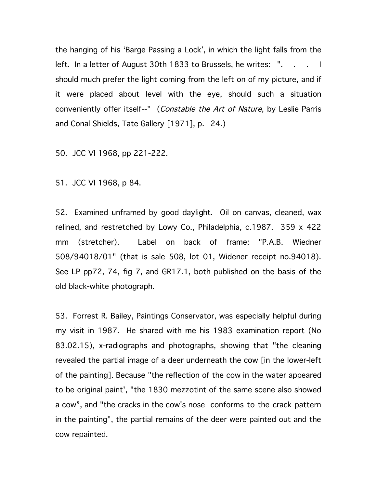the hanging of his 'Barge Passing a Lock', in which the light falls from the left. In a letter of August 30th 1833 to Brussels, he writes: "... should much prefer the light coming from the left on of my picture, and if it were placed about level with the eye, should such a situation conveniently offer itself--" (Constable the Art of Nature, by Leslie Parris and Conal Shields, Tate Gallery [1971], p. 24.)

50. JCC VI 1968, pp 221-222.

51. JCC VI 1968, p 84.

52. Examined unframed by good daylight. Oil on canvas, cleaned, wax relined, and restretched by Lowy Co., Philadelphia, c.1987. 359 x 422 mm (stretcher). Label on back of frame: "P.A.B. Wiedner 508/94018/01" (that is sale 508, lot 01, Widener receipt no.94018). See LP pp72, 74, fig 7, and GR17.1, both published on the basis of the old black-white photograph.

53. Forrest R. Bailey, Paintings Conservator, was especially helpful during my visit in 1987. He shared with me his 1983 examination report (No 83.02.15), x-radiographs and photographs, showing that "the cleaning revealed the partial image of a deer underneath the cow [in the lower-left of the painting]. Because "the reflection of the cow in the water appeared to be original paint', "the 1830 mezzotint of the same scene also showed a cow", and "the cracks in the cow's nose conforms to the crack pattern in the painting", the partial remains of the deer were painted out and the cow repainted.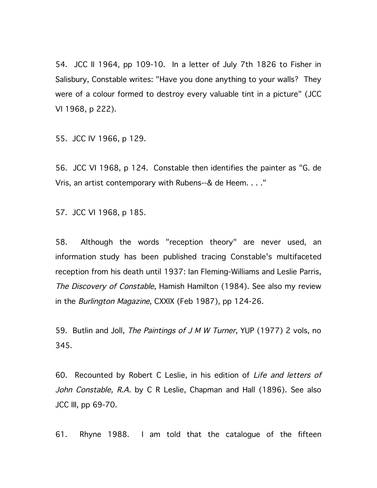54. JCC II 1964, pp 109-10. In a letter of July 7th 1826 to Fisher in Salisbury, Constable writes: "Have you done anything to your walls? They were of a colour formed to destroy every valuable tint in a picture" (JCC VI 1968, p 222).

55. JCC IV 1966, p 129.

56. JCC VI 1968, p 124. Constable then identifies the painter as "G. de Vris, an artist contemporary with Rubens--& de Heem. . . ."

57. JCC VI 1968, p 185.

58. Although the words "reception theory" are never used, an information study has been published tracing Constable's multifaceted reception from his death until 1937: Ian Fleming-Williams and Leslie Parris, The Discovery of Constable, Hamish Hamilton (1984). See also my review in the *Burlington Magazine*, CXXIX (Feb 1987), pp 124-26.

59. Butlin and Joll, The Paintings of J M W Turner, YUP (1977) 2 vols, no 345.

60. Recounted by Robert C Leslie, in his edition of Life and letters of John Constable, R.A. by C R Leslie, Chapman and Hall (1896). See also JCC III, pp 69-70.

61. Rhyne 1988. I am told that the catalogue of the fifteen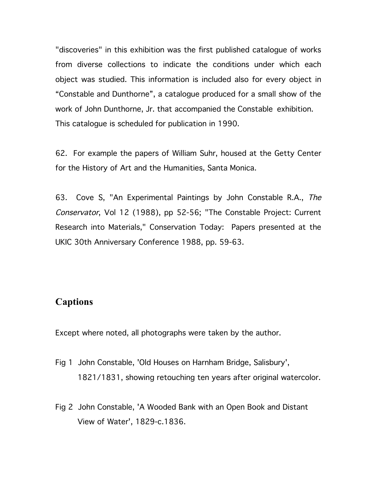"discoveries" in this exhibition was the first published catalogue of works from diverse collections to indicate the conditions under which each object was studied. This information is included also for every object in "Constable and Dunthorne", a catalogue produced for a small show of the work of John Dunthorne, Jr. that accompanied the Constable exhibition. This catalogue is scheduled for publication in 1990.

62. For example the papers of William Suhr, housed at the Getty Center for the History of Art and the Humanities, Santa Monica.

63. Cove S, "An Experimental Paintings by John Constable R.A., The Conservator, Vol 12 (1988), pp 52-56; "The Constable Project: Current Research into Materials," Conservation Today: Papers presented at the UKIC 30th Anniversary Conference 1988, pp. 59-63.

### **Captions**

Except where noted, all photographs were taken by the author.

- Fig 1 John Constable, 'Old Houses on Harnham Bridge, Salisbury', 1821/1831, showing retouching ten years after original watercolor.
- Fig 2 John Constable, 'A Wooded Bank with an Open Book and Distant View of Water', 1829-c.1836.